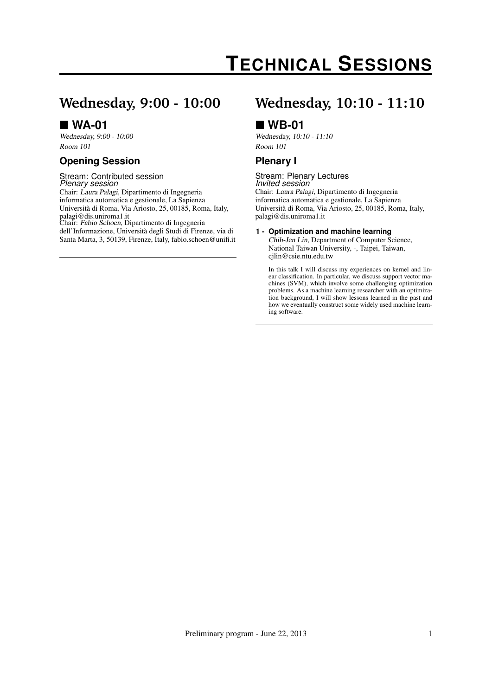# **TECHNICAL SESSIONS**

## **Wednesday, 9:00 - 10:00**

### **WA-01**

Wednesday, 9:00 - 10:00 Room 101

### **Opening Session**

#### Stream: Contributed session *Plenary session*

Chair: Laura Palagi, Dipartimento di Ingegneria informatica automatica e gestionale, La Sapienza Università di Roma, Via Ariosto, 25, 00185, Roma, Italy, palagi@dis.uniroma1.it Chair: Fabio Schoen, Dipartimento di Ingegneria dell'Informazione, Università degli Studi di Firenze, via di Santa Marta, 3, 50139, Firenze, Italy, fabio.schoen@unifi.it

## **Wednesday, 10:10 - 11:10**

### **WB-01**

Wednesday, 10:10 - 11:10 Room 101

### **Plenary I**

#### Stream: Plenary Lectures *Invited session*

Chair: Laura Palagi, Dipartimento di Ingegneria informatica automatica e gestionale, La Sapienza Università di Roma, Via Ariosto, 25, 00185, Roma, Italy, palagi@dis.uniroma1.it

#### **1 - Optimization and machine learning**

Chih-Jen Lin, Department of Computer Science, National Taiwan University, -, Taipei, Taiwan, cjlin@csie.ntu.edu.tw

In this talk I will discuss my experiences on kernel and linear classification. In particular, we discuss support vector machines (SVM), which involve some challenging optimization problems. As a machine learning researcher with an optimization background, I will show lessons learned in the past and how we eventually construct some widely used machine learning software.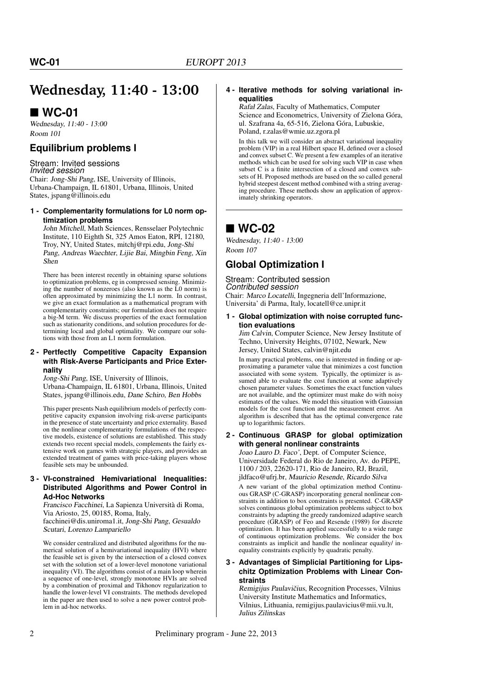## **Wednesday, 11:40 - 13:00**

### ■ WC-01

Wednesday, 11:40 - 13:00 Room 101

### **Equilibrium problems I**

Stream: Invited sessions *Invited session* Chair: Jong-Shi Pang, ISE, University of Illinois, Urbana-Champaign, IL 61801, Urbana, Illinois, United States, jspang@illinois.edu

#### **1 - Complementarity formulations for L0 norm optimization problems**

John Mitchell, Math Sciences, Rensselaer Polytechnic Institute, 110 Eighth St, 325 Amos Eaton, RPI, 12180, Troy, NY, United States, mitchj@rpi.edu, Jong-Shi Pang, Andreas Waechter, Lijie Bai, Mingbin Feng, Xin Shen

There has been interest recently in obtaining sparse solutions to optimization problems, eg in compressed sensing. Minimizing the number of nonzeroes (also known as the L0 norm) is often approximated by minimizing the L1 norm. In contrast, we give an exact formulation as a mathematical program with complementarity constraints; our formulation does not require a big-M term. We discuss properties of the exact formulation such as stationarity conditions, and solution procedures for determining local and global optimality. We compare our solutions with those from an L1 norm formulation.

#### **2 - Pertfectly Competitive Capacity Expansion with Risk-Averse Participants and Price Externality**

Jong-Shi Pang, ISE, University of Illinois,

Urbana-Champaign, IL 61801, Urbana, Illinois, United States, jspang@illinois.edu, Dane Schiro, Ben Hobbs

This paper presents Nash equilibrium models of perfectly competitive capacity expansion involving risk-averse participants in the presence of state uncertainty and price externality. Based on the nonlinear complementarity formulations of the respective models, existence of solutions are established. This study extends two recent special models, complements the fairly extensive work on games with strategic players, and provides an extended treatment of games with price-taking players whose feasible sets may be unbounded.

#### **3 - VI-constrained Hemivariational Inequalities: Distributed Algorithms and Power Control in Ad-Hoc Networks**

Francisco Facchinei, La Sapienza Università di Roma, Via Ariosto, 25, 00185, Roma, Italy, facchinei@dis.uniroma1.it, Jong-Shi Pang, Gesualdo Scutari, Lorenzo Lampariello

We consider centralized and distributed algorithms for the numerical solution of a hemivariational inequality (HVI) where the feasible set is given by the intersection of a closed convex set with the solution set of a lower-level monotone variational inequality (VI). The algorithms consist of a main loop wherein a sequence of one-level, strongly monotone HVIs are solved by a combination of proximal and Tikhonov regularization to handle the lower-level VI constraints. The methods developed in the paper are then used to solve a new power control problem in ad-hoc networks.

#### **4 - Iterative methods for solving variational inequalities**

Rafał Zalas, Faculty of Mathematics, Computer Science and Econometrics, University of Zielona Góra, ul. Szafrana 4a, 65-516, Zielona Góra, Lubuskie, Poland, r.zalas@wmie.uz.zgora.pl

In this talk we will consider an abstract variational inequality problem (VIP) in a real Hilbert space H, defined over a closed and convex subset C. We present a few examples of an iterative methods which can be used for solving such VIP in case when subset C is a finite intersection of a closed and convex subsets of H. Proposed methods are based on the so called general hybrid steepest descent method combined with a string averaging procedure. These methods show an application of approximately shrinking operators.

### ■ WC-02

Wednesday, 11:40 - 13:00 Room 107

### **Global Optimization I**

#### Stream: Contributed session

*Contributed session* Chair: Marco Locatelli, Ingegneria dell'Informazione, Universita' di Parma, Italy, locatell@ce.unipr.it

#### **1 - Global optimization with noise corrupted function evaluations**

Jim Calvin, Computer Science, New Jersey Institute of Techno, University Heights, 07102, Newark, New Jersey, United States, calvin@njit.edu

In many practical problems, one is interested in finding or approximating a parameter value that minimizes a cost function associated with some system. Typically, the optimizer is assumed able to evaluate the cost function at some adaptively chosen parameter values. Sometimes the exact function values are not available, and the optimizer must make do with noisy estimates of the values. We model this situation with Gaussian models for the cost function and the measurement error. An algorithm is described that has the optimal convergence rate up to logarithmic factors.

#### **2 - Continuous GRASP for global optimization with general nonlinear constraints**

Joao Lauro D. Faco', Dept. of Computer Science, Universidade Federal do Rio de Janeiro, Av. do PEPE, 1100 / 203, 22620-171, Rio de Janeiro, RJ, Brazil, jldfaco@ufrj.br, Mauricio Resende, Ricardo Silva

A new variant of the global optimization method Continuous GRASP (C-GRASP) incorporating general nonlinear constraints in addition to box constraints is presented. C-GRASP solves continuous global optimization problems subject to box constraints by adapting the greedy randomized adaptive search procedure (GRASP) of Feo and Resende (1989) for discrete optimization. It has been applied successfully to a wide range of continuous optimization problems. We consider the box constraints as implicit and handle the nonlinear equality/ inequality constraints explicitly by quadratic penalty.

#### **3 - Advantages of Simplicial Partitioning for Lipschitz Optimization Problems with Linear Constraints**

Remigijus Paulavičius, Recognition Processes, Vilnius University Institute Mathematics and Informatics, Vilnius, Lithuania, remigijus.paulavicius@mii.vu.lt, Julius Zilinskas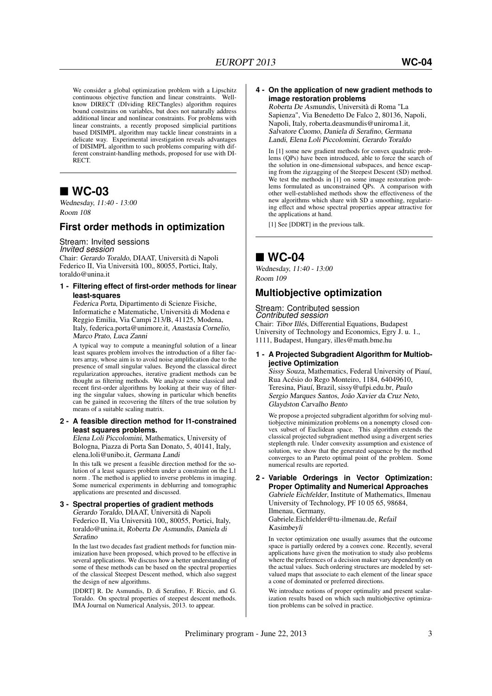We consider a global optimization problem with a Lipschitz continuous objective function and linear constraints. Wellknow DIRECT (DIviding RECTangles) algorithm requires bound constrains on variables, but does not naturally address additional linear and nonlinear constraints. For problems with linear constraints, a recently proposed simplicial partitions based DISIMPL algorithm may tackle linear constraints in a delicate way. Experimental investigation reveals advantages of DISIMPL algorithm to such problems comparing with different constraint-handling methods, proposed for use with DI-RECT.

### ■ WC-03

Wednesday, 11:40 - 13:00 Room 108

### **First order methods in optimization**

#### Stream: Invited sessions

*Invited session* Chair: Gerardo Toraldo, DIAAT, Università di Napoli Federico II, Via Università 100,, 80055, Portici, Italy, toraldo@unina.it

#### **1 - Filtering effect of first-order methods for linear least-squares**

Federica Porta, Dipartimento di Scienze Fisiche, Informatiche e Matematiche, Università di Modena e Reggio Emilia, Via Campi 213/B, 41125, Modena, Italy, federica.porta@unimore.it, Anastasia Cornelio, Marco Prato, Luca Zanni

A typical way to compute a meaningful solution of a linear least squares problem involves the introduction of a filter factors array, whose aim is to avoid noise amplification due to the presence of small singular values. Beyond the classical direct regularization approaches, iterative gradient methods can be thought as filtering methods. We analyze some classical and recent first-order algorithms by looking at their way of filtering the singular values, showing in particular which benefits can be gained in recovering the filters of the true solution by means of a suitable scaling matrix.

#### **2 - A feasible direction method for l1-constrained least squares problems.**

Elena Loli Piccolomini, Mathematics, University of Bologna, Piazza di Porta San Donato, 5, 40141, Italy, elena.loli@unibo.it, Germana Landi

In this talk we present a feasible direction method for the solution of a least squares problem under a constraint on the L1 norm . The method is applied to inverse problems in imaging. Some numerical experiments in deblurring and tomographic applications are presented and discussed.

### **3 - Spectral properties of gradient methods**

Gerardo Toraldo, DIAAT, Università di Napoli Federico II, Via Università 100,, 80055, Portici, Italy, toraldo@unina.it, Roberta De Asmundis, Daniela di Serafino

In the last two decades fast gradient methods for function minimization have been proposed, which proved to be effective in several applications. We discuss how a better understanding of some of these methods can be based on the spectral properties of the classical Steepest Descent method, which also suggest the design of new algorithms.

[DDRT] R. De Asmundis, D. di Serafino, F. Riccio, and G. Toraldo. On spectral properties of steepest descent methods. IMA Journal on Numerical Analysis, 2013. to appear.

#### **4 - On the application of new gradient methods to image restoration problems**

Roberta De Asmundis, Università di Roma "La Sapienza", Via Benedetto De Falco 2, 80136, Napoli, Napoli, Italy, roberta.deasmundis@uniroma1.it, Salvatore Cuomo, Daniela di Serafino, Germana Landi, Elena Loli Piccolomini, Gerardo Toraldo

In [1] some new gradient methods for convex quadratic problems (QPs) have been introduced, able to force the search of the solution in one-dimensional subspaces, and hence escaping from the zigzagging of the Steepest Descent (SD) method. We test the methods in [1] on some image restoration problems formulated as unconstrained QPs. A comparison with other well-established methods show the effectiveness of the new algorithms which share with SD a smoothing, regularizing effect and whose spectral properties appear attractive for the applications at hand.

[1] See [DDRT] in the previous talk.

### **WC-04**

Wednesday, 11:40 - 13:00 Room 109

### **Multiobjective optimization**

### Stream: Contributed session *Contributed session*

Chair: Tibor Illés, Differential Equations, Budapest University of Technology and Economics, Egry J. u. 1., 1111, Budapest, Hungary, illes@math.bme.hu

#### **1 - A Projected Subgradient Algorithm for Multiobjective Optimization**

Sissy Souza, Mathematics, Federal University of Piauí, Rua Acésio do Rego Monteiro, 1184, 64049610, Teresina, Piauí, Brazil, sissy@ufpi.edu.br, Paulo Sergio Marques Santos, João Xavier da Cruz Neto, Glaydston Carvalho Bento

We propose a projected subgradient algorithm for solving multiobjective minimization problems on a nonempty closed convex subset of Euclidean space. This algorithm extends the classical projected subgradient method using a divergent series steplength rule. Under convexity assumption and existence of solution, we show that the generated sequence by the method converges to an Pareto optimal point of the problem. Some numerical results are reported.

#### **2 - Variable Orderings in Vector Optimization: Proper Optimality and Numerical Approaches** Gabriele Eichfelder, Institute of Mathematics, Ilmenau University of Technology, PF 10 05 65, 98684, Ilmenau, Germany, Gabriele.Eichfelder@tu-ilmenau.de, Refail

Kasimbeyli In vector optimization one usually assumes that the outcome

space is partially ordered by a convex cone. Recently, several applications have given the motivation to study also problems where the preferences of a decision maker vary dependently on the actual values. Such ordering structures are modeled by setvalued maps that associate to each element of the linear space a cone of dominated or preferred directions.

We introduce notions of proper optimality and present scalarization results based on which such multiobjective optimization problems can be solved in practice.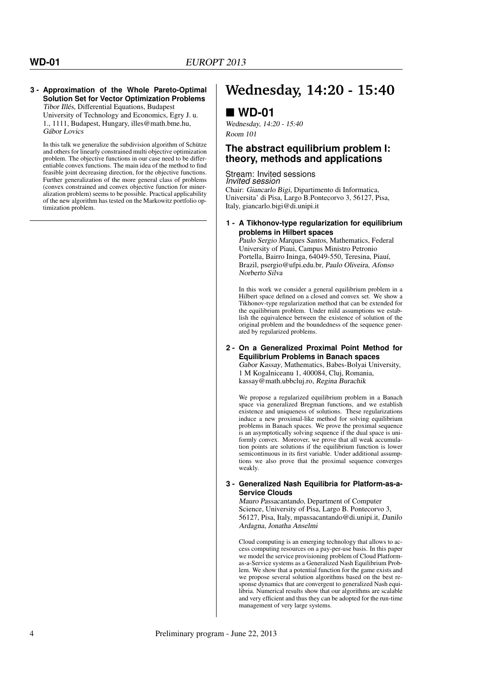#### **3 - Approximation of the Whole Pareto-Optimal Solution Set for Vector Optimization Problems** Tibor Illés, Differential Equations, Budapest

University of Technology and Economics, Egry J. u. 1., 1111, Budapest, Hungary, illes@math.bme.hu, Gábor Lovics

In this talk we generalize the subdivision algorithm of Schütze and others for linearly constrained multi objective optimization problem. The objective functions in our case need to be differentiable convex functions. The main idea of the method to find feasible joint decreasing direction, for the objective functions. Further generalization of the more general class of problems (convex constrained and convex objective function for mineralization problem) seems to be possible. Practical applicability of the new algorithm has tested on the Markowitz portfolio optimization problem.

## **Wednesday, 14:20 - 15:40**

### **WD-01**

Wednesday, 14:20 - 15:40 Room 101

### **The abstract equilibrium problem I: theory, methods and applications**

Stream: Invited sessions *Invited session*

Chair: Giancarlo Bigi, Dipartimento di Informatica, Universita' di Pisa, Largo B.Pontecorvo 3, 56127, Pisa, Italy, giancarlo.bigi@di.unipi.it

#### **1 - A Tikhonov-type regularization for equilibrium problems in Hilbert spaces**

Paulo Sergio Marques Santos, Mathematics, Federal University of Piaui, Campus Ministro Petronio Portella, Bairro Ininga, 64049-550, Teresina, Piauí, Brazil, psergio@ufpi.edu.br, Paulo Oliveira, Afonso Norberto Silva

In this work we consider a general equilibrium problem in a Hilbert space defined on a closed and convex set. We show a Tikhonov-type regularization method that can be extended for the equilibrium problem. Under mild assumptions we establish the equivalence between the existence of solution of the original problem and the boundedness of the sequence generated by regularized problems.

#### **2 - On a Generalized Proximal Point Method for Equilibrium Problems in Banach spaces**

Gabor Kassay, Mathematics, Babes-Bolyai University, 1 M Kogalniceanu 1, 400084, Cluj, Romania, kassay@math.ubbcluj.ro, Regina Burachik

We propose a regularized equilibrium problem in a Banach space via generalized Bregman functions, and we establish existence and uniqueness of solutions. These regularizations induce a new proximal-like method for solving equilibrium problems in Banach spaces. We prove the proximal sequence is an asymptotically solving sequence if the dual space is uniformly convex. Moreover, we prove that all weak accumulation points are solutions if the equilibrium function is lower semicontinuous in its first variable. Under additional assumptions we also prove that the proximal sequence converges weakly.

#### **3 - Generalized Nash Equilibria for Platform-as-a-Service Clouds**

Mauro Passacantando, Department of Computer Science, University of Pisa, Largo B. Pontecorvo 3, 56127, Pisa, Italy, mpassacantando@di.unipi.it, Danilo Ardagna, Jonatha Anselmi

Cloud computing is an emerging technology that allows to access computing resources on a pay-per-use basis. In this paper we model the service provisioning problem of Cloud Platformas-a-Service systems as a Generalized Nash Equilibrium Problem. We show that a potential function for the game exists and we propose several solution algorithms based on the best response dynamics that are convergent to generalized Nash equilibria. Numerical results show that our algorithms are scalable and very efficient and thus they can be adopted for the run-time management of very large systems.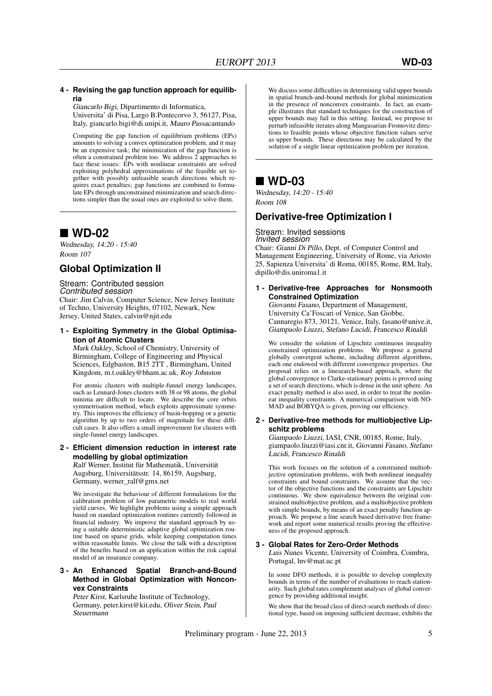#### **4 - Revising the gap function approach for equilibria**

Giancarlo Bigi, Dipartimento di Informatica, Universita' di Pisa, Largo B.Pontecorvo 3, 56127, Pisa, Italy, giancarlo.bigi@di.unipi.it, Mauro Passacantando

Computing the gap function of equilibrium problems (EPs) amounts to solving a convex optimization problem, and it may be an expensive task; the minimization of the gap function is often a constrained problem too. We address 2 approaches to face these issues: EPs with nonlinear constraints are solved exploiting polyhedral approximations of the feasible set together with possibly unfeasible search directions which requires exact penalties; gap functions are combined to formulate EPs through unconstrained minimization and search directions simpler than the usual ones are exploited to solve them.

### **WD-02**

Wednesday, 14:20 - 15:40 Room 107

### **Global Optimization II**

Stream: Contributed session *Contributed session*

Chair: Jim Calvin, Computer Science, New Jersey Institute of Techno, University Heights, 07102, Newark, New Jersey, United States, calvin@njit.edu

**1 - Exploiting Symmetry in the Global Optimisation of Atomic Clusters**

Mark Oakley, School of Chemistry, University of Birmingham, College of Engineering and Physical Sciences, Edgbaston, B15 2TT , Birmingham, United Kingdom, m.t.oakley@bham.ac.uk, Roy Johnston

For atomic clusters with multiple-funnel energy landscapes, such as Lennard-Jones clusters with 38 or 98 atoms, the global minima are difficult to locate. We describe the core orbits symmetrisation method, which exploits approximate symmetry. This improves the efficiency of basin-hopping or a genetic algorithm by up to two orders of magnitude for these difficult cases. It also offers a small improvement for clusters with single-funnel energy landscapes.

**2 - Efficient dimension reduction in interest rate modelling by global optimization** Ralf Werner, Institut für Mathematik, Universität Augsburg, Universitätsstr. 14, 86159, Augsburg, Germany, werner\_ralf@gmx.net

We investigate the behaviour of different formulations for the calibration problem of low parametric models to real world yield curves. We highlight problems using a simple approach based on standard optimization routines currently followed in financial industry. We improve the standard approach by using a suitable deterministic adaptive global optimization routine based on sparse grids, while keeping computation times within reasonable limits. We close the talk with a description of the benefits based on an application within the risk capital model of an insurance company.

#### **3 - An Enhanced Spatial Branch-and-Bound Method in Global Optimization with Nonconvex Constraints**

Peter Kirst, Karlsruhe Institute of Technology, Germany, peter.kirst@kit.edu, Oliver Stein, Paul Steuermann

We discuss some difficulties in determining valid upper bounds in spatial branch-and-bound methods for global minimization in the presence of nonconvex constraints. In fact, an example illustrates that standard techniques for the construction of upper bounds may fail in this setting. Instead, we propose to perturb infeasible iterates along Mangasarian-Fromovitz directions to feasible points whose objective function values serve as upper bounds. These directions may be calculated by the solution of a single linear optimization problem per iteration.

### **WD-03**

Wednesday, 14:20 - 15:40 Room 108

### **Derivative-free Optimization I**

Stream: Invited sessions *Invited session* Chair: Gianni Di Pillo, Dept. of Computer Control and Management Engineering, University of Rome, via Ariosto

25, Sapienza Universita' di Roma, 00185, Rome, RM, Italy, dipillo@dis.uniroma1.it

**1 - Derivative-free Approaches for Nonsmooth Constrained Optimization**

Giovanni Fasano, Department of Management, University Ca'Foscari of Venice, San Giobbe, Cannaregio 873, 30121, Venice, Italy, fasano@unive.it, Giampaolo Liuzzi, Stefano Lucidi, Francesco Rinaldi

We consider the solution of Lipschitz continuous inequality constrained optimization problems. We propose a general globally convergent scheme, including different algorithms, each one endowed with different convergence properties. Our proposal relies on a linesearch-based approach, where the global convergence to Clarke-stationary points is proved using a set of search directions, which is dense in the unit sphere. An exact penalty method is also used, in order to treat the nonlinear inequality constraints. A numerical comparison with NO-MAD and BOBYOA is given, proving our efficiency.

#### **2 - Derivative-free methods for multiobjective Lipschitz problems**

Giampaolo Liuzzi, IASI, CNR, 00185, Rome, Italy, giampaolo.liuzzi@iasi.cnr.it, Giovanni Fasano, Stefano Lucidi, Francesco Rinaldi

This work focuses on the solution of a constrained multiobjective optimization problems, with both nonlinear inequality constraints and bound constraints. We assume that the vector of the objective functions and the constraints are Lipschitz continuous. We show equivalence between the original constrained multiobjective problem, and a multiobjective problem with simple bounds, by means of an exact penalty function approach. We propose a line search based derivative free framework and report some numerical results proving the effectiveness of the proposed approach.

#### **3 - Global Rates for Zero-Order Methods**

Luis Nunes Vicente, University of Coimbra, Coimbra, Portugal, lnv@mat.uc.pt

In some DFO methods, it is possible to develop complexity bounds in terms of the number of evaluations to reach stationarity. Such global rates complement analyses of global convergence by providing additional insight.

We show that the broad class of direct-search methods of directional type, based on imposing sufficient decrease, exhibits the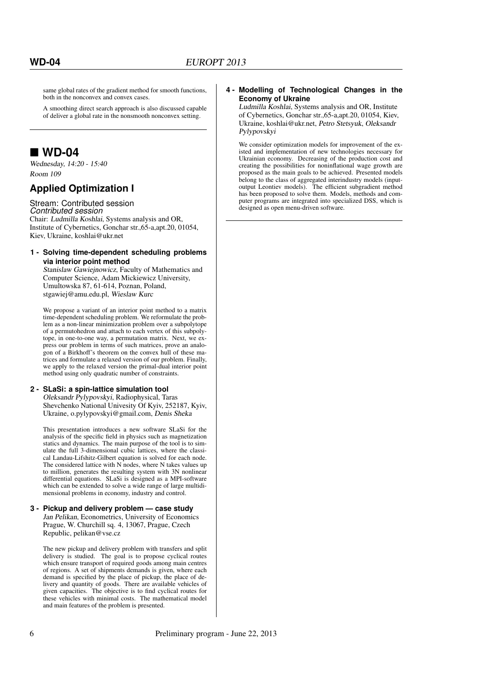same global rates of the gradient method for smooth functions, both in the nonconvex and convex cases.

A smoothing direct search approach is also discussed capable of deliver a global rate in the nonsmooth nonconvex setting.

### **WD-04**

Wednesday, 14:20 - 15:40 Room 109

### **Applied Optimization I**

#### Stream: Contributed session *Contributed session*

Chair: Ludmilla Koshlai, Systems analysis and OR, Institute of Cybernetics, Gonchar str.,65-a,apt.20, 01054, Kiev, Ukraine, koshlai@ukr.net

#### **1 - Solving time-dependent scheduling problems via interior point method**

Stanislaw Gawiejnowicz, Faculty of Mathematics and Computer Science, Adam Mickiewicz University, Umultowska 87, 61-614, Poznan, Poland, stgawiej@amu.edu.pl, Wieslaw Kurc

We propose a variant of an interior point method to a matrix time-dependent scheduling problem. We reformulate the problem as a non-linear minimization problem over a subpolytope of a permutohedron and attach to each vertex of this subpolytope, in one-to-one way, a permutation matrix. Next, we express our problem in terms of such matrices, prove an analogon of a Birkhoff's theorem on the convex hull of these matrices and formulate a relaxed version of our problem. Finally, we apply to the relaxed version the primal-dual interior point method using only quadratic number of constraints.

#### **2 - SLaSi: a spin-lattice simulation tool**

Oleksandr Pylypovskyi, Radiophysical, Taras Shevchenko National Univesity Of Kyiv, 252187, Kyiv, Ukraine, o.pylypovskyi@gmail.com, Denis Sheka

This presentation introduces a new software SLaSi for the analysis of the specific field in physics such as magnetization statics and dynamics. The main purpose of the tool is to simulate the full 3-dimensional cubic lattices, where the classical Landau-Lifshitz-Gilbert equation is solved for each node. The considered lattice with  $N$  nodes, where N takes values up to million, generates the resulting system with 3N nonlinear differential equations. SLaSi is designed as a MPI-software which can be extended to solve a wide range of large multidimensional problems in economy, industry and control.

#### **3 - Pickup and delivery problem — case study** Jan Pelikan, Econometrics, University of Economics Prague, W. Churchill sq. 4, 13067, Prague, Czech Republic, pelikan@vse.cz

The new pickup and delivery problem with transfers and split delivery is studied. The goal is to propose cyclical routes which ensure transport of required goods among main centres of regions. A set of shipments demands is given, where each demand is specified by the place of pickup, the place of delivery and quantity of goods. There are available vehicles of given capacities. The objective is to find cyclical routes for these vehicles with minimal costs. The mathematical model and main features of the problem is presented.

#### **4 - Modelling of Technological Changes in the Economy of Ukraine**

Ludmilla Koshlai, Systems analysis and OR, Institute of Cybernetics, Gonchar str.,65-a,apt.20, 01054, Kiev, Ukraine, koshlai@ukr.net, Petro Stetsyuk, Oleksandr Pylypovskyi

We consider optimization models for improvement of the existed and implementation of new technologies necessary for Ukrainian economy. Decreasing of the production cost and creating the possibilities for noninflational wage growth are proposed as the main goals to be achieved. Presented models belong to the class of aggregated interindustry models (inputoutput Leontiev models). The efficient subgradient method has been proposed to solve them. Models, methods and computer programs are integrated into specialized DSS, which is designed as open menu-driven software.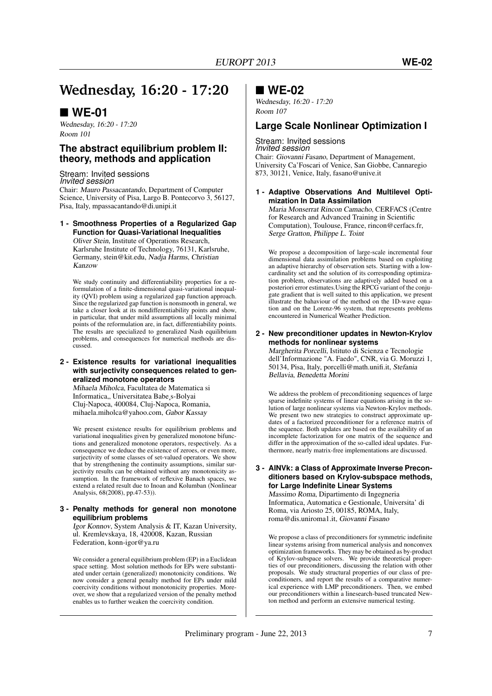## **Wednesday, 16:20 - 17:20**

### **WE-01**

Wednesday, 16:20 - 17:20 Room 101

### **The abstract equilibrium problem II: theory, methods and application**

Stream: Invited sessions *Invited session*

Chair: Mauro Passacantando, Department of Computer Science, University of Pisa, Largo B. Pontecorvo 3, 56127, Pisa, Italy, mpassacantando@di.unipi.it

#### **1 - Smoothness Properties of a Regularized Gap Function for Quasi-Variational Inequalities**

Oliver Stein, Institute of Operations Research, Karlsruhe Institute of Technology, 76131, Karlsruhe, Germany, stein@kit.edu, Nadja Harms, Christian Kanzow

We study continuity and differentiability properties for a reformulation of a finite-dimensional quasi-variational inequality (QVI) problem using a regularized gap function approach. Since the regularized gap function is nonsmooth in general, we take a closer look at its nondifferentiability points and show, in particular, that under mild assumptions all locally minimal points of the reformulation are, in fact, differentiability points. The results are specialized to generalized Nash equilibrium problems, and consequences for numerical methods are discussed.

#### **2 - Existence results for variational inequalities with surjectivity consequences related to generalized monotone operators**

Mihaela Miholca, Facultatea de Matematica si Informatica,, Universitatea Babe<sub>, S</sub>-Bolyai Cluj-Napoca, 400084, Cluj-Napoca, Romania, mihaela.miholca@yahoo.com, Gabor Kassay

We present existence results for equilibrium problems and variational inequalities given by generalized monotone bifunctions and generalized monotone operators, respectively. As a consequence we deduce the existence of zeroes, or even more, surjectivity of some classes of set-valued operators. We show that by strengthening the continuity assumptions, similar surjectivity results can be obtained without any monotonicity assumption. In the framework of reflexive Banach spaces, we extend a related result due to Inoan and Kolumban (Nonlinear Analysis, 68(2008), pp.47-53)).

#### **3 - Penalty methods for general non monotone equilibrium problems**

Igor Konnov, System Analysis & IT, Kazan University, ul. Kremlevskaya, 18, 420008, Kazan, Russian Federation, konn-igor@ya.ru

We consider a general equilibrium problem (EP) in a Euclidean space setting. Most solution methods for EPs were substantiated under certain (generalized) monotonicity conditions. We now consider a general penalty method for EPs under mild coercivity conditions without monotonicity properties. Moreover, we show that a regularized version of the penalty method enables us to further weaken the coercivity condition.

### **WE-02**

Wednesday, 16:20 - 17:20 Room 107

### **Large Scale Nonlinear Optimization I**

#### Stream: Invited sessions *Invited session*

Chair: Giovanni Fasano, Department of Management, University Ca'Foscari of Venice, San Giobbe, Cannaregio 873, 30121, Venice, Italy, fasano@unive.it

#### **1 - Adaptive Observations And Multilevel Optimization In Data Assimilation**

Maria Monserrat Rincon Camacho, CERFACS (Centre for Research and Advanced Training in Scientific Computation), Toulouse, France, rincon@cerfacs.fr, Serge Gratton, Philippe L. Toint

We propose a decomposition of large-scale incremental four dimensional data assimilation problems based on exploiting an adaptive hierarchy of observation sets. Starting with a lowcardinality set and the solution of its corresponding optimization problem, observations are adaptively added based on a posteriori error estimates.Using the RPCG variant of the conjugate gradient that is well suited to this application, we present illustrate the bahaviour of the method on the 1D-wave equation and on the Lorenz-96 system, that represents problems encountered in Numerical Weather Prediction.

#### **2 - New preconditioner updates in Newton-Krylov methods for nonlinear systems**

Margherita Porcelli, Istituto di Scienza e Tecnologie dell'Informazione "A. Faedo", CNR, via G. Moruzzi 1, 50134, Pisa, Italy, porcelli@math.unifi.it, Stefania Bellavia, Benedetta Morini

We address the problem of preconditioning sequences of large sparse indefinite systems of linear equations arising in the solution of large nonlinear systems via Newton-Krylov methods. We present two new strategies to construct approximate updates of a factorized preconditioner for a reference matrix of the sequence. Both updates are based on the availability of an incomplete factorization for one matrix of the sequence and differ in the approximation of the so-called ideal updates. Furthermore, nearly matrix-free implementations are discussed.

#### **3 - AINVk: a Class of Approximate Inverse Preconditioners based on Krylov-subspace methods, for Large Indefinite Linear Systems**

Massimo Roma, Dipartimento di Ingegneria Informatica, Automatica e Gestionale, Universita' di Roma, via Ariosto 25, 00185, ROMA, Italy, roma@dis.uniroma1.it, Giovanni Fasano

We propose a class of preconditioners for symmetric indefinite linear systems arising from numerical analysis and nonconvex optimization frameworks. They may be obtained as by-product of Krylov-subspace solvers. We provide theoretical properties of our preconditioners, discussing the relation with other proposals. We study structural properties of our class of preconditioners, and report the results of a comparative numerical experience with LMP preconditioners. Then, we embed our preconditioners within a linesearch-based truncated Newton method and perform an extensive numerical testing.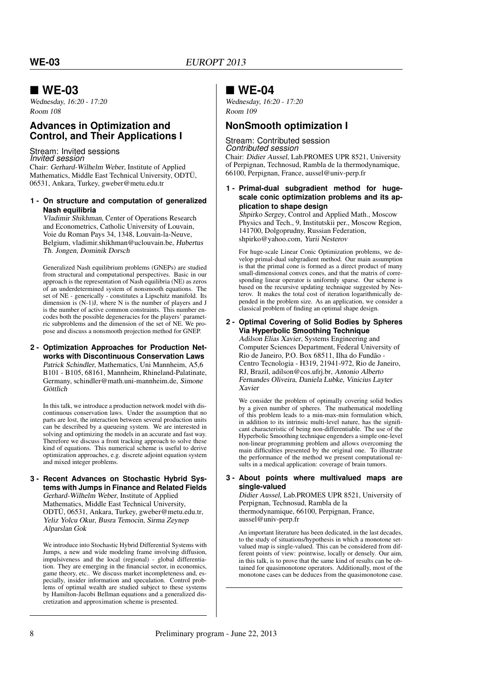### **WE-03**

Wednesday, 16:20 - 17:20 Room 108

### **Advances in Optimization and Control, and Their Applications I**

Stream: Invited sessions *Invited session* Chair: Gerhard-Wilhelm Weber, Institute of Applied Mathematics, Middle East Technical University, ODTÜ, 06531, Ankara, Turkey, gweber@metu.edu.tr

#### **1 - On structure and computation of generalized Nash equilibria**

Vladimir Shikhman, Center of Operations Research and Econometrics, Catholic University of Louvain, Voie du Roman Pays 34, 1348, Louvain-la-Neuve, Belgium, vladimir.shikhman@uclouvain.be, Hubertus Th. Jongen, Dominik Dorsch

Generalized Nash equilibrium problems (GNEPs) are studied from structural and computational perspectives. Basic in our approach is the representation of Nash equilibria (NE) as zeros of an underdetermined system of nonsmooth equations. The set of NE - generically - constitutes a Lipschitz manifold. Its dimension is (N-1)J, where N is the number of players and J is the number of active common constraints. This number encodes both the possible degeneracies for the players' parametric subproblems and the dimension of the set of NE. We propose and discuss a nonsmooth projection method for GNEP.

**2 - Optimization Approaches for Production Networks with Discontinuous Conservation Laws** Patrick Schindler, Mathematics, Uni Mannheim, A5,6 B101 - B105, 68161, Mannheim, Rhineland-Palatinate, Germany, schindler@math.uni-mannheim.de, Simone Göttlich

In this talk, we introduce a production network model with discontinuous conservation laws. Under the assumption that no parts are lost, the interaction between several production units can be described by a queueing system. We are interested in solving and optimizing the models in an accurate and fast way. Therefore we discuss a front tracking approach to solve these kind of equations. This numerical scheme is useful to derive optimization approaches, e.g. discrete adjoint equation system and mixed integer problems.

#### **3 - Recent Advances on Stochastic Hybrid Systems with Jumps in Finance and Related Fields** Gerhard-Wilhelm Weber, Institute of Applied Mathematics, Middle East Technical University, ODTÜ, 06531, Ankara, Turkey, gweber@metu.edu.tr, Yeliz Yolcu Okur, Busra Temocin, Sirma Zeynep Alparslan Gok

We introduce into Stochastic Hybrid Differential Systems with Jumps, a new and wide modeling frame involving diffusion, impulsiveness and the local (regional) - global differentiation. They are emerging in the financial sector, in economics, game theory, etc.. We discuss market incompleteness and, especially, insider information and speculation. Control problems of optimal wealth are studied subject to these systems by Hamilton-Jacobi Bellman equations and a generalized discretization and approximation scheme is presented.

### **WE-04**

Wednesday, 16:20 - 17:20 Room 109

### **NonSmooth optimization I**

#### Stream: Contributed session *Contributed session*

Chair: Didier Aussel, Lab.PROMES UPR 8521, University of Perpignan, Technosud, Rambla de la thermodynamique, 66100, Perpignan, France, aussel@univ-perp.fr

#### **1 - Primal-dual subgradient method for hugescale conic optimization problems and its application to shape design**

Shpirko Sergey, Control and Applied Math., Moscow Physics and Tech., 9, Institutskii per., Moscow Region, 141700, Dolgoprudny, Russian Federation, shpirko@yahoo.com, Yurii Nesterov

For huge-scale Linear Conic Optimization problems, we develop primal-dual subgradient method. Our main assumption is that the primal cone is formed as a direct product of many small-dimensional convex cones, and that the matrix of corresponding linear operator is uniformly sparse. Our scheme is based on the recursive updating technique suggested by Nesterov. It makes the total cost of iteration logarithmically depended in the problem size. As an application, we consider a classical problem of finding an optimal shape design.

#### **2 - Optimal Covering of Solid Bodies by Spheres Via Hyperbolic Smoothing Technique**

Adilson Elias Xavier, Systems Engineering and Computer Sciences Department, Federal University of Rio de Janeiro, P.O. Box 68511, Ilha do Fundão - Centro Tecnologia - H319, 21941-972, Rio de Janeiro, RJ, Brazil, adilson@cos.ufrj.br, Antonio Alberto Fernandes Oliveira, Daniela Lubke, Vinicius Layter Xavier

We consider the problem of optimally covering solid bodies by a given number of spheres. The mathematical modelling of this problem leads to a min-max-min formulation which, in addition to its intrinsic multi-level nature, has the significant characteristic of being non-differentiable. The use of the Hyperbolic Smoothing technique engenders a simple one-level non-linear programming problem and allows overcoming the main difficulties presented by the original one. To illustrate the performance of the method we present computational results in a medical application: coverage of brain tumors.

#### **3 - About points where multivalued maps are single-valued**

Didier Aussel, Lab.PROMES UPR 8521, University of Perpignan, Technosud, Rambla de la

thermodynamique, 66100, Perpignan, France, aussel@univ-perp.fr

An important literature has been dedicated, in the last decades, to the study of situations/hypothesis in which a monotone setvalued map is single-valued. This can be considered from different points of view: pointwise, locally or densely. Our aim, in this talk, is to prove that the same kind of results can be obtained for quasimonotone operators. Additionally, most of the monotone cases can be deduces from the quasimonotone case.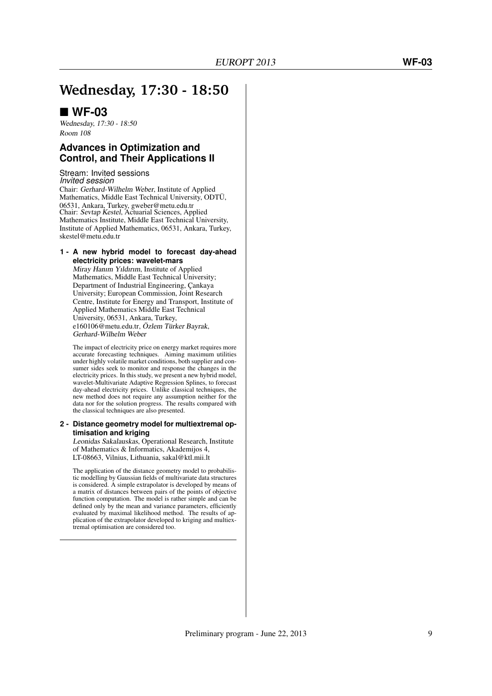## **Wednesday, 17:30 - 18:50**

### **WF-03**

Wednesday, 17:30 - 18:50 Room 108

### **Advances in Optimization and Control, and Their Applications II**

Stream: Invited sessions *Invited session* Chair: Gerhard-Wilhelm Weber, Institute of Applied Mathematics, Middle East Technical University, ODTÜ, 06531, Ankara, Turkey, gweber@metu.edu.tr Chair: Sevtap Kestel, Actuarial Sciences, Applied Mathematics Institute, Middle East Technical University, Institute of Applied Mathematics, 06531, Ankara, Turkey, skestel@metu.edu.tr

**1 - A new hybrid model to forecast day-ahead electricity prices: wavelet-mars**

Miray Hanım Yıldırım, Institute of Applied Mathematics, Middle East Technical University; Department of Industrial Engineering, Çankaya University; European Commission, Joint Research Centre, Institute for Energy and Transport, Institute of Applied Mathematics Middle East Technical University, 06531, Ankara, Turkey, e160106@metu.edu.tr, Özlem Türker Bayrak, Gerhard-Wilhelm Weber

The impact of electricity price on energy market requires more accurate forecasting techniques. Aiming maximum utilities under highly volatile market conditions, both supplier and consumer sides seek to monitor and response the changes in the electricity prices. In this study, we present a new hybrid model, wavelet-Multivariate Adaptive Regression Splines, to forecast day-ahead electricity prices. Unlike classical techniques, the new method does not require any assumption neither for the data nor for the solution progress. The results compared with the classical techniques are also presented.

#### **2 - Distance geometry model for multiextremal optimisation and kriging**

Leonidas Sakalauskas, Operational Research, Institute of Mathematics & Informatics, Akademijos 4, LT-08663, Vilnius, Lithuania, sakal@ktl.mii.lt

The application of the distance geometry model to probabilistic modelling by Gaussian fields of multivariate data structures is considered. A simple extrapolator is developed by means of a matrix of distances between pairs of the points of objective function computation. The model is rather simple and can be defined only by the mean and variance parameters, efficiently evaluated by maximal likelihood method. The results of application of the extrapolator developed to kriging and multiextremal optimisation are considered too.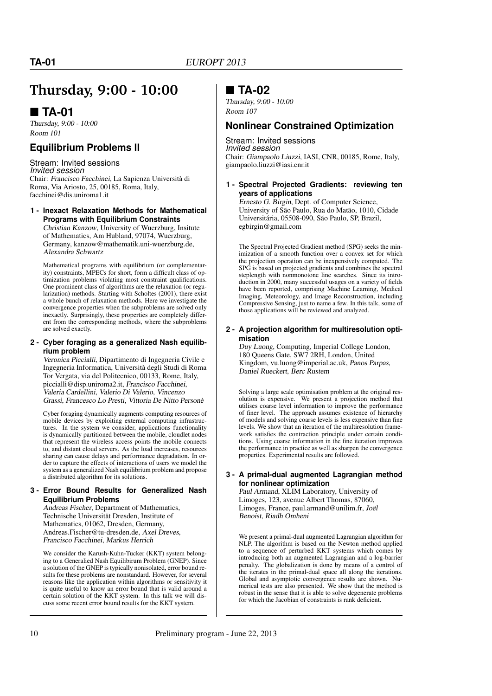## **Thursday, 9:00 - 10:00**

### **TA-01**

Thursday, 9:00 - 10:00 Room 101

### **Equilibrium Problems II**

#### Stream: Invited sessions *Invited session*

Chair: Francisco Facchinei, La Sapienza Università di Roma, Via Ariosto, 25, 00185, Roma, Italy, facchinei@dis.uniroma1.it

#### **1 - Inexact Relaxation Methods for Mathematical Programs with Equilibrium Constraints**

Christian Kanzow, University of Wuerzburg, Insitute of Mathematics, Am Hubland, 97074, Wuerzburg, Germany, kanzow@mathematik.uni-wuerzburg.de, Alexandra Schwartz

Mathematical programs with equilibrium (or complementarity) constraints, MPECs for short, form a difficult class of optimization problems violating most constraint qualifications. One prominent class of algorithms are the relaxation (or regularization) methods. Starting with Scholtes (2001), there exist a whole bunch of relaxation methods. Here we investigate the convergence properties when the subproblems are solved only inexactly. Surprisingly, these properties are completely different from the corresponding methods, where the subproblems are solved exactly.

#### **2 - Cyber foraging as a generalized Nash equilibrium problem**

Veronica Piccialli, Dipartimento di Ingegneria Civile e Ingegneria Informatica, Università degli Studi di Roma Tor Vergata, via del Politecnico, 00133, Rome, Italy, piccialli@disp.uniroma2.it, Francisco Facchinei, Valeria Cardellini, Valerio Di Valerio, Vincenzo Grassi, Francesco Lo Presti, Vittoria De Nitto Personè

Cyber foraging dynamically augments computing resources of mobile devices by exploiting external computing infrastructures. In the system we consider, applications functionality is dynamically partitioned between the mobile, cloudlet nodes that represent the wireless access points the mobile connects to, and distant cloud servers. As the load increases, resources sharing can cause delays and performance degradation. In order to capture the effects of interactions of users we model the system as a generalized Nash equilibrium problem and propose a distributed algorithm for its solutions.

#### **3 - Error Bound Results for Generalized Nash Equilibrium Problems**

Andreas Fischer, Department of Mathematics, Technische Universität Dresden, Institute of Mathematics, 01062, Dresden, Germany, Andreas.Fischer@tu-dresden.de, Axel Dreves, Francisco Facchinei, Markus Herrich

We consider the Karush-Kuhn-Tucker (KKT) system belonging to a Generalied Nash Equilibirum Problem (GNEP). Since a solution of the GNEP is typically nonisolated, error bound results for these problems are nonstandard. However, for several reasons like the application within algorithms or sensitivity it is quite useful to know an error bound that is valid around a certain solution of the KKT system. In this talk we will discuss some recent error bound results for the KKT system.

### **TA-02**

Thursday, 9:00 - 10:00 Room 107

### **Nonlinear Constrained Optimization**

Stream: Invited sessions *Invited session* Chair: Giampaolo Liuzzi, IASI, CNR, 00185, Rome, Italy, giampaolo.liuzzi@iasi.cnr.it

#### **1 - Spectral Projected Gradients: reviewing ten years of applications**

Ernesto G. Birgin, Dept. of Computer Science, University of São Paulo, Rua do Matão, 1010, Cidade Universitária, 05508-090, São Paulo, SP, Brazil, egbirgin@gmail.com

The Spectral Projected Gradient method (SPG) seeks the minimization of a smooth function over a convex set for which the projection operation can be inexpensively computed. The SPG is based on projected gradients and combines the spectral steplength with nonmonotone line searches. Since its introduction in 2000, many successful usages on a variety of fields have been reported, comprising Machine Learning, Medical Imaging, Meteorology, and Image Reconstruction, including Compressive Sensing, just to name a few. In this talk, some of those applications will be reviewed and analyzed.

#### **2 - A projection algorithm for multiresolution optimisation**

Duy Luong, Computing, Imperial College London, 180 Queens Gate, SW7 2RH, London, United Kingdom, vu.luong@imperial.ac.uk, Panos Parpas, Daniel Rueckert, Berc Rustem

Solving a large scale optimisation problem at the original resolution is expensive. We present a projection method that utilises coarse level information to improve the performance of finer level. The approach assumes existence of hierarchy of models and solving coarse levels is less expensive than fine levels. We show that an iteration of the multiresolution framework satisfies the contraction principle under certain conditions. Using coarse information in the fine iteration improves the performance in practice as well as sharpen the convergence properties. Experimental results are followed.

#### **3 - A primal-dual augmented Lagrangian method for nonlinear optimization**

Paul Armand, XLIM Laboratory, University of Limoges, 123, avenue Albert Thomas, 87060, Limoges, France, paul.armand@unilim.fr, Joël Benoist, Riadh Omheni

We present a primal-dual augmented Lagrangian algorithm for NLP. The algorithm is based on the Newton method applied to a sequence of perturbed KKT systems which comes by introducing both an augmented Lagrangian and a log-barrier penalty. The globalization is done by means of a control of the iterates in the primal-dual space all along the iterations. Global and asymptotic convergence results are shown. Numerical tests are also presented. We show that the method is robust in the sense that it is able to solve degenerate problems for which the Jacobian of constraints is rank deficient.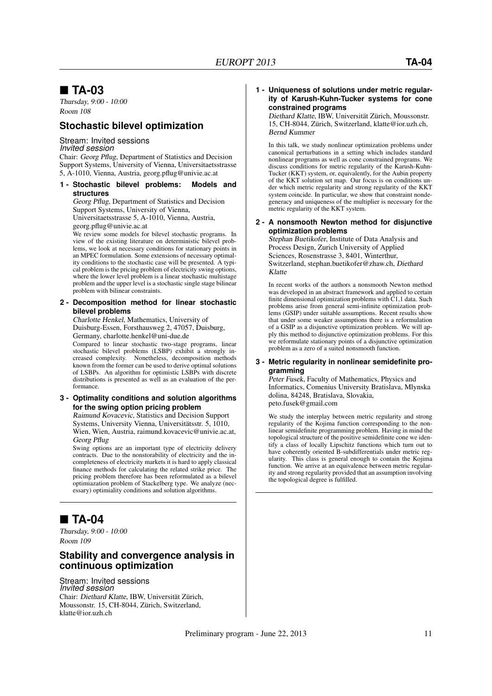### **TA-03**

Thursday, 9:00 - 10:00 Room 108

#### **Stochastic bilevel optimization**

### Stream: Invited sessions

*Invited session*

Chair: Georg Pflug, Department of Statistics and Decision Support Systems, University of Vienna, Universitaetsstrasse 5, A-1010, Vienna, Austria, georg.pflug@univie.ac.at

#### **1 - Stochastic bilevel problems: Models and structures**

Georg Pflug, Department of Statistics and Decision Support Systems, University of Vienna, Universitaetsstrasse 5, A-1010, Vienna, Austria,

georg.pflug@univie.ac.at

We review some models for bilevel stochastic programs. In view of the existing literature on deterministic bilevel problems, we look at necessary conditions for stationary points in an MPEC formulation. Some extensions of necessary optimality conditions to the stochastic case will be presented. A typical problem is the pricing problem of electricity swing options, where the lower level problem is a linear stochastic multistage problem and the upper level is a stochastic single stage bilinear problem with bilinear constraints.

#### **2 - Decomposition method for linear stochastic bilevel problems**

Charlotte Henkel, Mathematics, University of Duisburg-Essen, Forsthausweg 2, 47057, Duisburg, Germany, charlotte.henkel@uni-due.de

Compared to linear stochastic two-stage programs, linear stochastic bilevel problems (LSBP) exhibit a strongly increased complexity. Nonetheless, decomposition methods known from the former can be used to derive optimal solutions of LSBPs. An algorithm for optimistic LSBPs with discrete distributions is presented as well as an evaluation of the performance.

#### **3 - Optimality conditions and solution algorithms for the swing option pricing problem**

Raimund Kovacevic, Statistics and Decision Support Systems, University Vienna, Universitätsstr. 5, 1010, Wien, Wien, Austria, raimund.kovacevic@univie.ac.at, Georg Pflug

Swing options are an important type of electricity delivery contracts. Due to the nonstorability of electricity and the incompleteness of electricity markets it is hard to apply classical finance methods for calculating the related strike price. The pricing problem therefore has been reformulated as a bilevel optimiazation problem of Stackelberg type. We analyze (necessary) optimiality conditions and solution algorithms.

### **TA-04**

Thursday, 9:00 - 10:00 Room 109

### **Stability and convergence analysis in continuous optimization**

Stream: Invited sessions *Invited session* Chair: Diethard Klatte, IBW, Universität Zürich, Moussonstr. 15, CH-8044, Zürich, Switzerland, klatte@ior.uzh.ch

#### **1 - Uniqueness of solutions under metric regularity of Karush-Kuhn-Tucker systems for cone constrained programs**

Diethard Klatte, IBW, Universität Zürich, Moussonstr. 15, CH-8044, Zürich, Switzerland, klatte@ior.uzh.ch, Bernd Kummer

In this talk, we study nonlinear optimization problems under canonical perturbations in a setting which includes standard nonlinear programs as well as cone constrained programs. We discuss conditions for metric regularity of the Karush-Kuhn-Tucker (KKT) system, or, equivalently, for the Aubin property of the KKT solution set map. Our focus is on conditions under which metric regularity and strong regularity of the KKT system coincide. In particular, we show that constraint nondegeneracy and uniqueness of the multiplier is necessary for the metric regularity of the KKT system.

#### **2 - A nonsmooth Newton method for disjunctive optimization problems**

Stephan Buetikofer, Institute of Data Analysis and Process Design, Zurich University of Applied Sciences, Rosenstrasse 3, 8401, Winterthur, Switzerland, stephan.buetikofer@zhaw.ch, Diethard Klatte

In recent works of the authors a nonsmooth Newton method was developed in an abstract framework and applied to certain finite dimensional optimization problems with C1,1 data. Such problems arise from general semi-infinite optimization problems (GSIP) under suitable assumptions. Recent results show that under some weaker assumptions there is a reformulation of a GSIP as a disjunctive optimization problem. We will apply this method to disjunctive optimization problems. For this we reformulate stationary points of a disjunctive optimization problem as a zero of a suited nonsmooth function.

#### **3 - Metric regularity in nonlinear semidefinite programming**

Peter Fusek, Faculty of Mathematics, Physics and Informatics, Comenius University Bratislava, Mlynska dolina, 84248, Bratislava, Slovakia, peto.fusek@gmail.com

We study the interplay between metric regularity and strong regularity of the Kojima function corresponding to the nonlinear semidefinite programming problem. Having in mind the topological structure of the positive semidefinite cone we identify a class of locally Lipschitz functions which turn out to have coherently oriented B-subdifferentials under metric regularity. This class is general enough to contain the Kojima function. We arrive at an equivalence between metric regularity and strong regularity provided that an assumption involving the topological degree is fulfilled.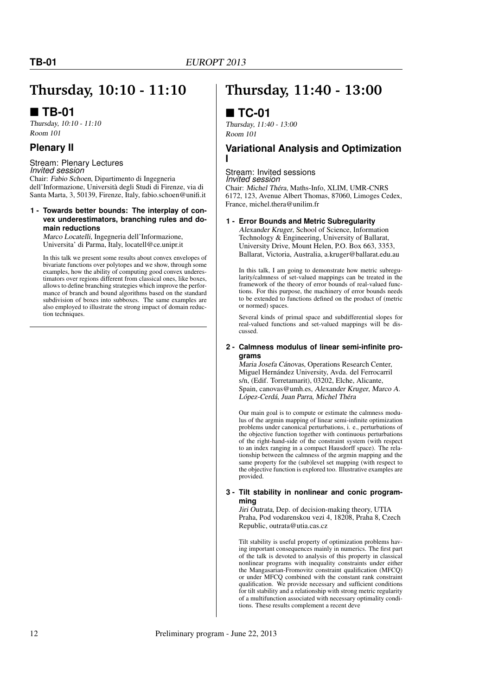## **Thursday, 10:10 - 11:10**

### **TB-01**

Thursday, 10:10 - 11:10 Room 101

### **Plenary II**

Stream: Plenary Lectures *Invited session*

Chair: Fabio Schoen, Dipartimento di Ingegneria dell'Informazione, Università degli Studi di Firenze, via di Santa Marta, 3, 50139, Firenze, Italy, fabio.schoen@unifi.it

#### **1 - Towards better bounds: The interplay of convex underestimators, branching rules and domain reductions**

Marco Locatelli, Ingegneria dell'Informazione, Universita' di Parma, Italy, locatell@ce.unipr.it

In this talk we present some results about convex envelopes of bivariate functions over polytopes and we show, through some examples, how the ability of computing good convex underestimators over regions different from classical ones, like boxes, allows to define branching strategies which improve the performance of branch and bound algorithms based on the standard subdivision of boxes into subboxes. The same examples are also employed to illustrate the strong impact of domain reduction techniques.

## **Thursday, 11:40 - 13:00**

### **TC-01**

Thursday, 11:40 - 13:00 Room 101

### **Variational Analysis and Optimization I**

#### Stream: Invited sessions *Invited session*

Chair: Michel Théra, Maths-Info, XLIM, UMR-CNRS 6172, 123, Avenue Albert Thomas, 87060, Limoges Cedex, France, michel.thera@unilim.fr

#### **1 - Error Bounds and Metric Subregularity**

Alexander Kruger, School of Science, Information Technology & Engineering, University of Ballarat, University Drive, Mount Helen, P.O. Box 663, 3353, Ballarat, Victoria, Australia, a.kruger@ballarat.edu.au

In this talk, I am going to demonstrate how metric subregularity/calmness of set-valued mappings can be treated in the framework of the theory of error bounds of real-valued functions. For this purpose, the machinery of error bounds needs to be extended to functions defined on the product of (metric or normed) spaces.

Several kinds of primal space and subdifferential slopes for real-valued functions and set-valued mappings will be discussed.

#### **2 - Calmness modulus of linear semi-infinite programs**

Maria Josefa Cánovas, Operations Research Center, Miguel Hernández University, Avda. del Ferrocarril s/n, (Edif. Torretamarit), 03202, Elche, Alicante, Spain, canovas@umh.es, Alexander Kruger, Marco A. López-Cerdá, Juan Parra, Michel Théra

Our main goal is to compute or estimate the calmness modulus of the argmin mapping of linear semi-infinite optimization problems under canonical perturbations, i. e., perturbations of the objective function together with continuous perturbations of the right-hand-side of the constraint system (with respect to an index ranging in a compact Hausdorff space). The relationship between the calmness of the argmin mapping and the same property for the (sub)level set mapping (with respect to the objective function is explored too. Illustrative examples are provided.

#### **3 - Tilt stability in nonlinear and conic programming**

Jiri Outrata, Dep. of decision-making theory, UTIA Praha, Pod vodarenskou vezi 4, 18208, Praha 8, Czech Republic, outrata@utia.cas.cz

Tilt stability is useful property of optimization problems having important consequences mainly in numerics. The first part of the talk is devoted to analysis of this property in classical nonlinear programs with inequality constraints under either the Mangasarian-Fromovitz constraint qualification (MFCQ) or under MFCQ combined with the constant rank constraint qualification. We provide necessary and sufficient conditions for tilt stability and a relationship with strong metric regularity of a multifunction associated with necessary optimality conditions. These results complement a recent deve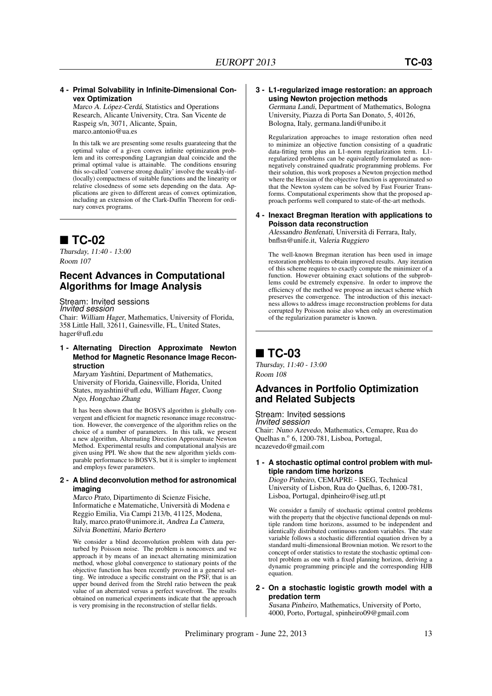#### **4 - Primal Solvability in Infinite-Dimensional Convex Optimization**

Marco A. López-Cerdá, Statistics and Operations Research, Alicante University, Ctra. San Vicente de Raspeig s/n, 3071, Alicante, Spain, marco.antonio@ua.es

In this talk we are presenting some results guarateeing that the optimal value of a given convex infinite optimization problem and its corresponding Lagrangian dual coincide and the primal optimal value is attainable. The conditions ensuring this so-called 'converse strong duality' involve the weakly-inf- (locally) compactness of suitable functions and the linearity or relative closedness of some sets depending on the data. Applications are given to different areas of convex optimization, including an extension of the Clark-Duffin Theorem for ordinary convex programs.

### ■ TC-02

Thursday, 11:40 - 13:00 Room 107

### **Recent Advances in Computational Algorithms for Image Analysis**

Stream: Invited sessions *Invited session*

Chair: William Hager, Mathematics, University of Florida, 358 Little Hall, 32611, Gainesville, FL, United States, hager@ufl.edu

#### **1 - Alternating Direction Approximate Newton Method for Magnetic Resonance Image Reconstruction**

Maryam Yashtini, Department of Mathematics, University of Florida, Gainesville, Florida, United States, myashtini@ufl.edu, William Hager, Cuong Ngo, Hongchao Zhang

It has been shown that the BOSVS algorithm is globally convergent and efficient for magnetic resonance image reconstruction. However, the convergence of the algorithm relies on the choice of a number of parameters. In this talk, we present a new algorithm, Alternating Direction Approximate Newton Method. Experimental results and computational analysis are given using PPI. We show that the new algorithm yields comparable performance to BOSVS, but it is simpler to implement and employs fewer parameters.

#### **2 - A blind deconvolution method for astronomical imaging**

Marco Prato, Dipartimento di Scienze Fisiche, Informatiche e Matematiche, Università di Modena e Reggio Emilia, Via Campi 213/b, 41125, Modena, Italy, marco.prato@unimore.it, Andrea La Camera, Silvia Bonettini, Mario Bertero

We consider a blind deconvolution problem with data perturbed by Poisson noise. The problem is nonconvex and we approach it by means of an inexact alternating minimization method, whose global convergence to stationary points of the objective function has been recently proved in a general setting. We introduce a specific constraint on the PSF, that is an upper bound derived from the Strehl ratio between the peak value of an aberrated versus a perfect wavefront. The results obtained on numerical experiments indicate that the approach is very promising in the reconstruction of stellar fields.

#### **3 - L1-regularized image restoration: an approach using Newton projection methods**

Germana Landi, Department of Mathematics, Bologna University, Piazza di Porta San Donato, 5, 40126, Bologna, Italy, germana.landi@unibo.it

Regularization approaches to image restoration often need to minimize an objective function consisting of a quadratic data-fitting term plus an L1-norm regularization term. L1 regularized problems can be equivalently formulated as nonnegatively constrained quadratic programming problems. For their solution, this work proposes a Newton projection method where the Hessian of the objective function is approximated so that the Newton system can be solved by Fast Fourier Transforms. Computational experiments show that the proposed approach performs well compared to state-of-the-art methods.

#### **4 - Inexact Bregman Iteration with applications to Poisson data reconstruction**

Alessandro Benfenati, Università di Ferrara, Italy, bnflsn@unife.it, Valeria Ruggiero

The well-known Bregman iteration has been used in image restoration problems to obtain improved results. Any iteration of this scheme requires to exactly compute the minimizer of a function. However obtaining exact solutions of the subproblems could be extremely expensive. In order to improve the efficiency of the method we propose an inexact scheme which preserves the convergence. The introduction of this inexactness allows to address image reconstruction problems for data corrupted by Poisson noise also when only an overestimation of the regularization parameter is known.

### ■ TC-03

Thursday, 11:40 - 13:00 Room 108

### **Advances in Portfolio Optimization and Related Subjects**

Stream: Invited sessions *Invited session* Chair: Nuno Azevedo, Mathematics, Cemapre, Rua do Quelhas n.º 6, 1200-781, Lisboa, Portugal, ncazevedo@gmail.com

#### **1 - A stochastic optimal control problem with multiple random time horizons** Diogo Pinheiro, CEMAPRE - ISEG, Technical

University of Lisbon, Rua do Quelhas, 6, 1200-781, Lisboa, Portugal, dpinheiro@iseg.utl.pt

We consider a family of stochastic optimal control problems with the property that the objective functional depends on multiple random time horizons, assumed to be independent and identically distributed continuous random variables. The state variable follows a stochastic differential equation driven by a standard multi-dimensional Brownian motion. We resort to the concept of order statistics to restate the stochastic optimal control problem as one with a fixed planning horizon, deriving a dynamic programming principle and the corresponding HJB equation.

#### **2 - On a stochastic logistic growth model with a predation term**

Susana Pinheiro, Mathematics, University of Porto, 4000, Porto, Portugal, spinheiro09@gmail.com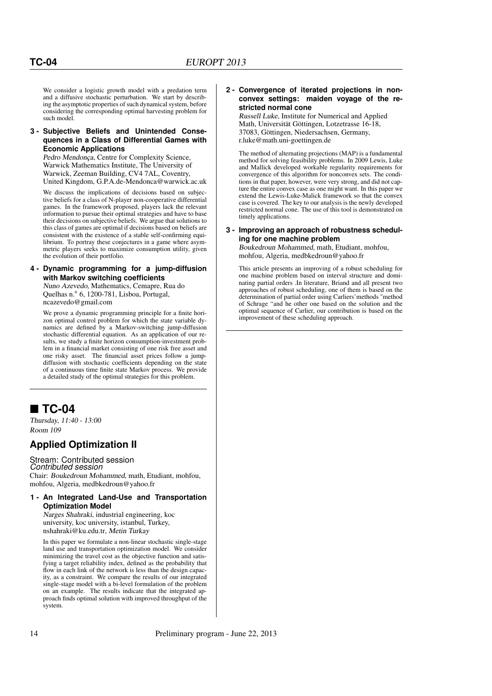We consider a logistic growth model with a predation term and a diffusive stochastic perturbation. We start by describing the asymptotic properties of such dynamical system, before considering the corresponding optimal harvesting problem for such model.

#### **3 - Subjective Beliefs and Unintended Consequences in a Class of Differential Games with Economic Applications**

Pedro Mendonça, Centre for Complexity Science, Warwick Mathematics Institute, The University of Warwick, Zeeman Building, CV4 7AL, Coventry, United Kingdom, G.P.A.de-Mendonca@warwick.ac.uk

We discuss the implications of decisions based on subjective beliefs for a class of N-player non-cooperative differential games. In the framework proposed, players lack the relevant information to pursue their optimal strategies and have to base their decisions on subjective beliefs. We argue that solutions to this class of games are optimal if decisions based on beliefs are consistent with the existence of a stable self-confirming equilibrium. To portray these conjectures in a game where asymmetric players seeks to maximize consumption utility, given the evolution of their portfolio.

#### **4 - Dynamic programming for a jump-diffusion with Markov switching coefficients**

Nuno Azevedo, Mathematics, Cemapre, Rua do Quelhas n.º 6, 1200-781, Lisboa, Portugal, ncazevedo@gmail.com

We prove a dynamic programming principle for a finite horizon optimal control problem for which the state variable dynamics are defined by a Markov-switching jump-diffusion stochastic differential equation. As an application of our results, we study a finite horizon consumption-investment problem in a financial market consisting of one risk free asset and one risky asset. The financial asset prices follow a jumpdiffusion with stochastic coefficients depending on the state of a continuous time finite state Markov process. We provide a detailed study of the optimal strategies for this problem.

### ■ TC-04

Thursday, 11:40 - 13:00 Room 109

### **Applied Optimization II**

Stream: Contributed session *Contributed session* Chair: Boukedroun Mohammed, math, Etudiant, mohfou, mohfou, Algeria, medbkedroun@yahoo.fr

#### **1 - An Integrated Land-Use and Transportation Optimization Model**

Narges Shahraki, industrial engineering, koc university, koc university, istanbul, Turkey, nshahraki@ku.edu.tr, Metin Turkay

In this paper we formulate a non-linear stochastic single-stage land use and transportation optimization model. We consider minimizing the travel cost as the objective function and satisfying a target reliability index, defined as the probability that flow in each link of the network is less than the design capacity, as a constraint. We compare the results of our integrated single-stage model with a bi-level formulation of the problem on an example. The results indicate that the integrated approach finds optimal solution with improved throughput of the system.

#### **2 - Convergence of iterated projections in nonconvex settings: maiden voyage of the restricted normal cone**

Russell Luke, Institute for Numerical and Applied Math, Universität Göttingen, Lotzetrasse 16-18, 37083, Göttingen, Niedersachsen, Germany, r.luke@math.uni-goettingen.de

The method of alternating projections (MAP) is a fundamental method for solving feasibility problems. In 2009 Lewis, Luke and Mallick developed workable regularity requirements for convergence of this algorithm for nonconvex sets. The conditions in that paper, however, were very strong, and did not capture the entire convex case as one might want. In this paper we extend the Lewis-Luke-Malick framework so that the convex case is covered. The key to our analysis is the newly developed restricted normal cone. The use of this tool is demonstrated on timely applications.

#### **3 - Improving an approach of robustness scheduling for one machine problem**

Boukedroun Mohammed, math, Etudiant, mohfou, mohfou, Algeria, medbkedroun@yahoo.fr

This article presents an improving of a robust scheduling for one machine problem based on interval structure and dominating partial orders .In literature, Briand and all present two approaches of robust scheduling, one of them is based on the determination of partial order using Carliers'methods "method of Schrage "and he other one based on the solution and the optimal sequence of Carlier, our contribution is based on the improvement of these scheduling approach.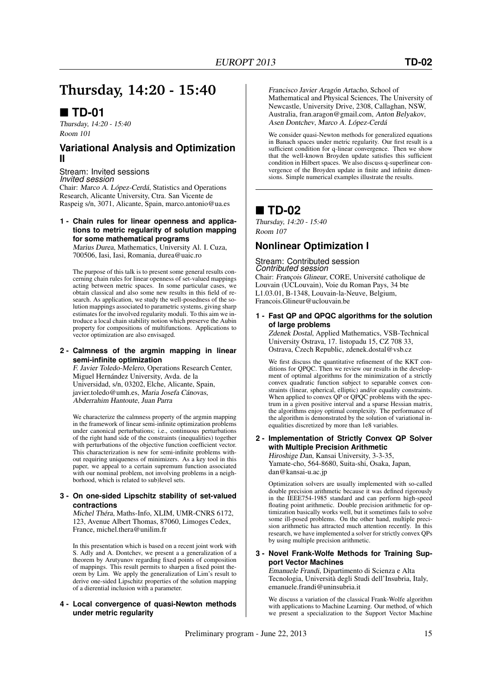## **Thursday, 14:20 - 15:40**

### **TD-01**

Thursday, 14:20 - 15:40 Room 101

### **Variational Analysis and Optimization II**

Stream: Invited sessions *Invited session* Chair: Marco A. López-Cerdá, Statistics and Operations Research, Alicante University, Ctra. San Vicente de Raspeig s/n, 3071, Alicante, Spain, marco.antonio@ua.es

#### **1 - Chain rules for linear openness and applications to metric regularity of solution mapping for some mathematical programs**

Marius Durea, Mathematics, University Al. I. Cuza, 700506, Iasi, Iasi, Romania, durea@uaic.ro

The purpose of this talk is to present some general results concerning chain rules for linear openness of set-valued mappings acting between metric spaces. In some particular cases, we obtain classical and also some new results in this field of research. As application, we study the well-posedness of the solution mappings associated to parametric systems, giving sharp estimates for the involved regularity moduli. To this aim we introduce a local chain stability notion which preserve the Aubin property for compositions of multifunctions. Applications to vector optimization are also envisaged.

#### **2 - Calmness of the argmin mapping in linear semi-infinite optimization**

F. Javier Toledo-Melero, Operations Research Center, Miguel Hernández University, Avda. de la Universidad, s/n, 03202, Elche, Alicante, Spain, javier.toledo@umh.es, Maria Josefa Cánovas, Abderrahim Hantoute, Juan Parra

We characterize the calmness property of the argmin mapping in the framework of linear semi-infinite optimization problems under canonical perturbations; i.e., continuous perturbations of the right hand side of the constraints (inequalities) together with perturbations of the objective function coefficient vector. This characterization is new for semi-infinite problems without requiring uniqueness of minimizers. As a key tool in this paper, we appeal to a certain supremum function associated with our nominal problem, not involving problems in a neighborhood, which is related to sub)level sets.

#### **3 - On one-sided Lipschitz stability of set-valued contractions**

Michel Théra, Maths-Info, XLIM, UMR-CNRS 6172, 123, Avenue Albert Thomas, 87060, Limoges Cedex, France, michel.thera@unilim.fr

In this presentation which is based on a recent joint work with S. Adly and A. Dontchev, we present a a generalization of a theorem by Arutyunov regarding fixed points of composition of mappings. This result permits to sharpen a fixed point theorem by Lim. We apply the generalization of Lim's result to derive one-sided Lipschitz properties of the solution mapping of a dierential inclusion with a parameter.

#### **4 - Local convergence of quasi-Newton methods under metric regularity**

Francisco Javier Aragón Artacho, School of Mathematical and Physical Sciences, The University of Newcastle, University Drive, 2308, Callaghan, NSW, Australia, fran.aragon@gmail.com, Anton Belyakov, Asen Dontchev, Marco A. López-Cerdá

We consider quasi-Newton methods for generalized equations in Banach spaces under metric regularity. Our first result is a sufficient condition for q-linear convergence. Then we show that the well-known Broyden update satisfies this sufficient condition in Hilbert spaces. We also discuss q-superlinear convergence of the Broyden update in finite and infinite dimensions. Simple numerical examples illustrate the results.

### **TD-02**

Thursday, 14:20 - 15:40 Room 107

### **Nonlinear Optimization I**

Stream: Contributed session *Contributed session* Chair: François Glineur, CORE, Université catholique de Louvain (UCLouvain), Voie du Roman Pays, 34 bte L1.03.01, B-1348, Louvain-la-Neuve, Belgium, Francois.Glineur@uclouvain.be

**1 - Fast QP and QPQC algorithms for the solution of large problems**

Zdenek Dostal, Applied Mathematics, VSB-Technical University Ostrava, 17. listopadu 15, CZ 708 33, Ostrava, Czech Republic, zdenek.dostal@vsb.cz

We first discuss the quantitative refinement of the KKT conditions for QPQC. Then we review our results in the development of optimal algorithms for the minimization of a strictly convex quadratic function subject to separable convex constraints (linear, spherical, elliptic) and/or equality constraints. When applied to convex QP or QPQC problems with the spectrum in a given positive interval and a sparse Hessian matrix, the algorithms enjoy optimal complexity. The performance of the algorithm is demonstrated by the solution of variational inequalities discretized by more than 1e8 variables.

**2 - Implementation of Strictly Convex QP Solver with Multiple Precision Arithmetic** Hiroshige Dan, Kansai University, 3-3-35,

Yamate-cho, 564-8680, Suita-shi, Osaka, Japan, dan@kansai-u.ac.jp

Optimization solvers are usually implemented with so-called double precision arithmetic because it was defined rigorously in the IEEE754-1985 standard and can perform high-speed floating point arithmetic. Double precision arithmetic for optimization basically works well, but it sometimes fails to solve some ill-posed problems. On the other hand, multiple precision arithmetic has attracted much attention recently. In this research, we have implemented a solver for strictly convex QPs by using multiple precision arithmetic.

#### **3 - Novel Frank-Wolfe Methods for Training Support Vector Machines**

Emanuele Frandi, Dipartimento di Scienza e Alta Tecnologia, Università degli Studi dell'Insubria, Italy, emanuele.frandi@uninsubria.it

We discuss a variation of the classical Frank-Wolfe algorithm with applications to Machine Learning. Our method, of which we present a specialization to the Support Vector Machine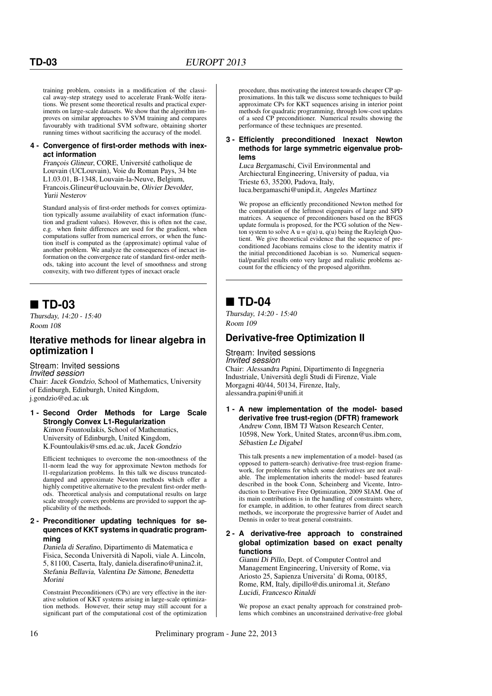training problem, consists in a modification of the classical away-step strategy used to accelerate Frank-Wolfe iterations. We present some theoretical results and practical experiments on large-scale datasets. We show that the algorithm improves on similar approaches to SVM training and compares favourably with traditional SVM software, obtaining shorter running times without sacrificing the accuracy of the model.

#### **4 - Convergence of first-order methods with inexact information**

François Glineur, CORE, Université catholique de Louvain (UCLouvain), Voie du Roman Pays, 34 bte L1.03.01, B-1348, Louvain-la-Neuve, Belgium, Francois.Glineur@uclouvain.be, Olivier Devolder, Yurii Nesterov

Standard analysis of first-order methods for convex optimization typically assume availability of exact information (function and gradient values). However, this is often not the case, e.g. when finite differences are used for the gradient, when computations suffer from numerical errors, or when the function itself is computed as the (approximate) optimal value of another problem. We analyze the consequences of inexact information on the convergence rate of standard first-order methods, taking into account the level of smoothness and strong convexity, with two different types of inexact oracle

### **TD-03**

Thursday, 14:20 - 15:40 Room 108

### **Iterative methods for linear algebra in optimization I**

#### Stream: Invited sessions *Invited session*

Chair: Jacek Gondzio, School of Mathematics, University of Edinburgh, Edinburgh, United Kingdom, j.gondzio@ed.ac.uk

#### **1 - Second Order Methods for Large Scale Strongly Convex L1-Regularization** Kimon Fountoulakis, School of Mathematics, University of Edinburgh, United Kingdom,

K.Fountoulakis@sms.ed.ac.uk, Jacek Gondzio

Efficient techniques to overcome the non-smoothness of the l1-norm lead the way for approximate Newton methods for l1-regularization problems. In this talk we discuss truncateddamped and approximate Newton methods which offer a highly competitive alternative to the prevalent first-order methods. Theoretical analysis and computational results on large scale strongly convex problems are provided to support the applicability of the methods.

#### **2 - Preconditioner updating techniques for sequences of KKT systems in quadratic programming**

Daniela di Serafino, Dipartimento di Matematica e Fisica, Seconda Università di Napoli, viale A. Lincoln, 5, 81100, Caserta, Italy, daniela.diserafino@unina2.it, Stefania Bellavia, Valentina De Simone, Benedetta Morini

Constraint Preconditioners (CPs) are very effective in the iterative solution of KKT systems arising in large-scale optimization methods. However, their setup may still account for a significant part of the computational cost of the optimization

procedure, thus motivating the interest towards cheaper CP approximations. In this talk we discuss some techniques to build approximate CPs for KKT sequences arising in interior point methods for quadratic programming, through low-cost updates of a seed CP preconditioner. Numerical results showing the performance of these techniques are presented.

#### **3 - Efficiently preconditioned Inexact Newton methods for large symmetric eigenvalue problems**

Luca Bergamaschi, Civil Environmental and Archiectural Engineering, University of padua, via Trieste 63, 35200, Padova, Italy, luca.bergamaschi@unipd.it, Angeles Martinez

We propose an efficiently preconditioned Newton method for the computation of the leftmost eigenpairs of large and SPD matrices. A sequence of preconditioners based on the BFGS update formula is proposed, for the PCG solution of the Newton system to solve  $\overrightarrow{A}$  u = q(u) u, q(u) being the Rayleigh Quotient. We give theoretical evidence that the sequence of preconditioned Jacobians remains close to the identity matrix if the initial preconditioned Jacobian is so. Numerical sequential/parallel results onto very large and realistic problems account for the efficiency of the proposed algorithm.

### **TD-04**

Thursday, 14:20 - 15:40 Room 109

### **Derivative-free Optimization II**

Stream: Invited sessions *Invited session* Chair: Alessandra Papini, Dipartimento di Ingegneria Industriale, Università degli Studi di Firenze, Viale Morgagni 40/44, 50134, Firenze, Italy, alessandra.papini@unifi.it

#### **1 - A new implementation of the model- based derivative free trust-region (DFTR) framework** Andrew Conn, IBM TJ Watson Research Center, 10598, New York, United States, arconn@us.ibm.com, Sébastien Le Digabel

This talk presents a new implementation of a model- based (as opposed to pattern-search) derivative-free trust-region framework, for problems for which some derivatives are not available. The implementation inherits the model- based features described in the book Conn, Scheinberg and Vicente, Introduction to Derivative Free Optimization, 2009 SIAM. One of its main contributions is in the handling of constraints where, for example, in addition, to other features from direct search methods, we incorporate the progressive barrier of Audet and Dennis in order to treat general constraints.

#### **2 - A derivative-free approach to constrained global optimization based on exact penalty functions**

Gianni Di Pillo, Dept. of Computer Control and Management Engineering, University of Rome, via Ariosto 25, Sapienza Universita' di Roma, 00185, Rome, RM, Italy, dipillo@dis.uniroma1.it, Stefano Lucidi, Francesco Rinaldi

We propose an exact penalty approach for constrained problems which combines an unconstrained derivative-free global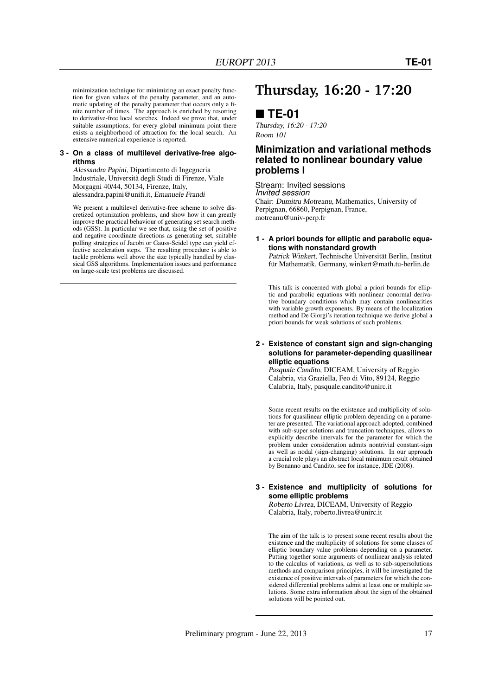tion for given values of the penalty parameter, and an automatic updating of the penalty parameter that occurs only a finite number of times. The approach is enriched by resorting to derivative-free local searches. Indeed we prove that, under suitable assumptions, for every global minimum point there exists a neighborhood of attraction for the local search. An extensive numerical experience is reported.

#### **3 - On a class of multilevel derivative-free algorithms**

Alessandra Papini, Dipartimento di Ingegneria Industriale, Università degli Studi di Firenze, Viale Morgagni 40/44, 50134, Firenze, Italy, alessandra.papini@unifi.it, Emanuele Frandi

We present a multilevel derivative-free scheme to solve discretized optimization problems, and show how it can greatly improve the practical behaviour of generating set search methods (GSS). In particular we see that, using the set of positive and negative coordinate directions as generating set, suitable polling strategies of Jacobi or Gauss-Seidel type can yield effective acceleration steps. The resulting procedure is able to tackle problems well above the size typically handled by classical GSS algorithms. Implementation issues and performance on large-scale test problems are discussed.

## **Thursday, 16:20 - 17:20**

### **TE-01**

Thursday, 16:20 - 17:20 Room 101

### **Minimization and variational methods related to nonlinear boundary value problems I**

Stream: Invited sessions *Invited session*

Chair: Dumitru Motreanu, Mathematics, University of Perpignan, 66860, Perpignan, France, motreanu@univ-perp.fr

#### **1 - A priori bounds for elliptic and parabolic equations with nonstandard growth**

Patrick Winkert, Technische Universität Berlin, Institut für Mathematik, Germany, winkert@math.tu-berlin.de

This talk is concerned with global a priori bounds for elliptic and parabolic equations with nonlinear conormal derivative boundary conditions which may contain nonlinearities with variable growth exponents. By means of the localization method and De Giorgi's iteration technique we derive global a priori bounds for weak solutions of such problems.

#### **2 - Existence of constant sign and sign-changing solutions for parameter-depending quasilinear elliptic equations**

Pasquale Candito, DICEAM, University of Reggio Calabria, via Graziella, Feo di Vito, 89124, Reggio Calabria, Italy, pasquale.candito@unirc.it

Some recent results on the existence and multiplicity of solutions for quasilinear elliptic problem depending on a parameter are presented. The variational approach adopted, combined with sub-super solutions and truncation techniques, allows to explicitly describe intervals for the parameter for which the problem under consideration admits nontrivial constant-sign as well as nodal (sign-changing) solutions. In our approach a crucial role plays an abstract local minimum result obtained by Bonanno and Candito, see for instance, JDE (2008).

#### **3 - Existence and multiplicity of solutions for some elliptic problems**

Roberto Livrea, DICEAM, University of Reggio Calabria, Italy, roberto.livrea@unirc.it

The aim of the talk is to present some recent results about the existence and the multiplicity of solutions for some classes of elliptic boundary value problems depending on a parameter. Putting together some arguments of nonlinear analysis related to the calculus of variations, as well as to sub-supersolutions methods and comparison principles, it will be investigated the existence of positive intervals of parameters for which the considered differential problems admit at least one or multiple solutions. Some extra information about the sign of the obtained solutions will be pointed out.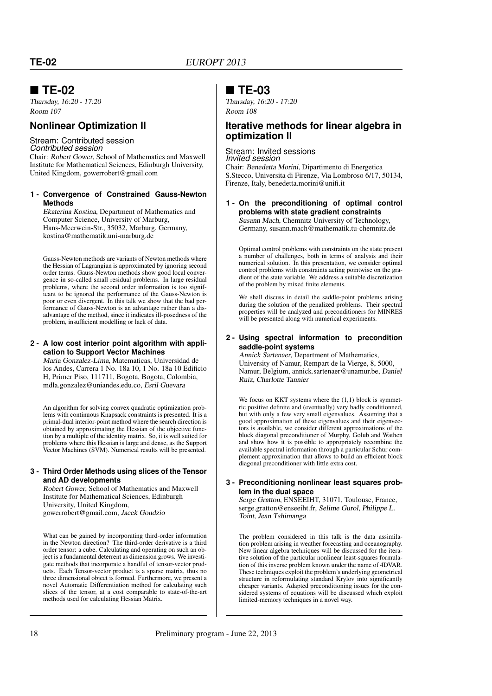### **TE-02**

Thursday, 16:20 - 17:20 Room 107

### **Nonlinear Optimization II**

#### Stream: Contributed session *Contributed session*

Chair: Robert Gower, School of Mathematics and Maxwell Institute for Mathematical Sciences, Edinburgh University, United Kingdom, gowerrobert@gmail.com

#### **1 - Convergence of Constrained Gauss-Newton Methods**

Ekaterina Kostina, Department of Mathematics and Computer Science, University of Marburg, Hans-Meerwein-Str., 35032, Marburg, Germany, kostina@mathematik.uni-marburg.de

Gauss-Newton methods are variants of Newton methods where the Hessian of Lagrangian is approximated by ignoring second order terms. Gauss-Newton methods show good local convergence in so-called small residual problems. In large residual problems, where the second order information is too significant to be ignored the performance of the Gauss-Newton is poor or even divergent. In this talk we show that the bad performance of Gauss-Newton is an advantage rather than a disadvantage of the method, since it indicates ill-posedness of the problem, insufficient modelling or lack of data.

#### **2 - A low cost interior point algorithm with application to Support Vector Machines**

Maria Gonzalez-Lima, Matematicas, Universidad de los Andes, Carrera 1 No. 18a 10, 1 No. 18a 10 Edificio H, Primer Piso, 111711, Bogota, Bogota, Colombia, mdla.gonzalez@uniandes.edu.co, Esril Guevara

An algorithm for solving convex quadratic optimization problems with continuous Knapsack constraints is presented. It is a primal-dual interior-point method where the search direction is obtained by approximating the Hessian of the objective function by a multiple of the identity matrix. So, it is well suited for problems where this Hessian is large and dense, as the Support Vector Machines (SVM). Numerical results will be presented.

#### **3 - Third Order Methods using slices of the Tensor and AD developments**

Robert Gower, School of Mathematics and Maxwell Institute for Mathematical Sciences, Edinburgh University, United Kingdom, gowerrobert@gmail.com, Jacek Gondzio

What can be gained by incorporating third-order information in the Newton direction? The third-order derivative is a third order tensor: a cube. Calculating and operating on such an object is a fundamental deterrent as dimension grows. We investigate methods that incorporate a handful of tensor-vector products. Each Tensor-vector product is a sparse matrix, thus no three dimensional object is formed. Furthermore, we present a novel Automatic Differentiation method for calculating such slices of the tensor, at a cost comparable to state-of-the-art methods used for calculating Hessian Matrix.

### **TE-03**

Thursday, 16:20 - 17:20 Room 108

### **Iterative methods for linear algebra in optimization II**

Stream: Invited sessions *Invited session* Chair: Benedetta Morini, Dipartimento di Energetica S.Stecco, Universita di Firenze, Via Lombroso 6/17, 50134, Firenze, Italy, benedetta.morini@unifi.it

#### **1 - On the preconditioning of optimal control problems with state gradient constraints** Susann Mach, Chemnitz University of Technology, Germany, susann.mach@mathematik.tu-chemnitz.de

Optimal control problems with constraints on the state present a number of challenges, both in terms of analysis and their numerical solution. In this presentation, we consider optimal control problems with constraints acting pointwise on the gradient of the state variable. We address a suitable discretization of the problem by mixed finite elements.

We shall discuss in detail the saddle-point problems arising during the solution of the penalized problems. Their spectral properties will be analyzed and preconditioners for MINRES will be presented along with numerical experiments.

#### **2 - Using spectral information to precondition saddle-point systems**

Annick Sartenaer, Department of Mathematics, University of Namur, Rempart de la Vierge, 8, 5000, Namur, Belgium, annick.sartenaer@unamur.be, Daniel Ruiz, Charlotte Tannier

We focus on KKT systems where the  $(1,1)$  block is symmetric positive definite and (eventually) very badly conditionned, but with only a few very small eigenvalues. Assuming that a good approximation of these eigenvalues and their eigenvectors is available, we consider different approximations of the block diagonal preconditioner of Murphy, Golub and Wathen and show how it is possible to appropriately recombine the available spectral information through a particular Schur complement approximation that allows to build an efficient block diagonal preconditioner with little extra cost.

#### **3 - Preconditioning nonlinear least squares problem in the dual space**

Serge Gratton, ENSEEIHT, 31071, Toulouse, France, serge.gratton@enseeiht.fr, Selime Gurol, Philippe L. Toint, Jean Tshimanga

The problem considered in this talk is the data assimilation problem arising in weather forecasting and oceanography. New linear algebra techniques will be discussed for the iterative solution of the particular nonlinear least-squares formulation of this inverse problem known under the name of 4DVAR. These techniques exploit the problem's underlying geometrical structure in reformulating standard Krylov into significantly cheaper variants. Adapted preconditioning issues for the considered systems of equations will be discussed which exploit limited-memory techniques in a novel way.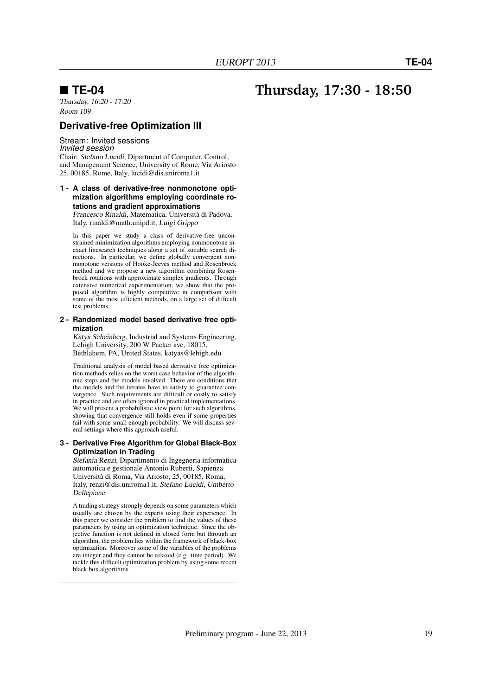### **TE-04**

Thursday, 16:20 - 17:20 Room 109

#### **Derivative-free Optimization III**

#### Stream: Invited sessions *Invited session*

Chair: Stefano Lucidi, Dipartment of Computer, Control, and Management Science, University of Rome, Via Ariosto 25, 00185, Rome, Italy, lucidi@dis.uniroma1.it

#### **1 - A class of derivative-free nonmonotone optimization algorithms employing coordinate rotations and gradient approximations**

Francesco Rinaldi, Matematica, Università di Padova, Italy, rinaldi@math.unipd.it, Luigi Grippo

In this paper we study a class of derivative-free unconstrained minimization algorithms employing nonmonotone inexact linesearch techniques along a set of suitable search directions. In particular, we define globally convergent nonmonotone versions of Hooke-Jeeves method and Rosenbrock method and we propose a new algorithm combining Rosenbrock rotations with approximate simplex gradients. Through extensive numerical experimentation, we show that the proposed algorithm is highly competitive in comparison with some of the most efficient methods, on a large set of difficult test problems.

#### **2 - Randomized model based derivative free optimization**

Katya Scheinberg, Industrial and Systems Engineering, Lehigh University, 200 W Packer ave, 18015, Bethlahem, PA, United States, katyas@lehigh.edu

Traditional analysis of model based derivative free optimization methods relies on the worst case behavior of the algorithmic steps and the models involved. There are conditions that the models and the iterates have to satisfy to guarantee convergence. Such requirements are difficult or costly to satisfy in practice and are often ignored in practical implementations. We will present a probabilistic view point for such algorithms, showing that convergence still holds even if some properties fail with some small enough probability. We will discuss several settings where this approach useful.

#### **3 - Derivative Free Algorithm for Global Black-Box Optimization in Trading**

Stefania Renzi, Dipartimento di Ingegneria informatica automatica e gestionale Antonio Ruberti, Sapienza Università di Roma, Via Ariosto, 25, 00185, Roma, Italy, renzi@dis.uniroma1.it, Stefano Lucidi, Umberto Dellepiane

A trading strategy strongly depends on some parameters which usually are chosen by the experts using their experience. In this paper we consider the problem to find the values of these parameters by using an optimization technique. Since the objective function is not defined in closed form but through an algorithm, the problem lies within the framework of black-box optimization. Moreover some of the variables of the problems are integer and they cannot be relaxed (e.g. time period). We tackle this difficult optimization problem by using some recent black box algorithms.

## **Thursday, 17:30 - 18:50**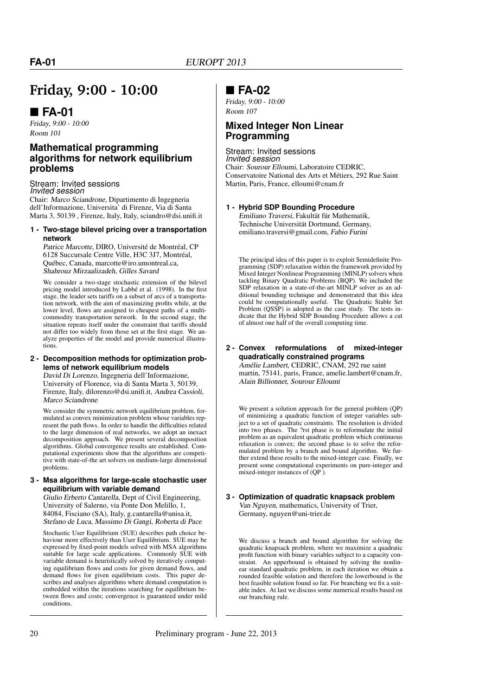## **Friday, 9:00 - 10:00**

### **FA-01**

Friday, 9:00 - 10:00 Room 101

### **Mathematical programming algorithms for network equilibrium problems**

#### Stream: Invited sessions *Invited session*

Chair: Marco Sciandrone, Dipartimento di Ingegneria dell'Informazione, Universita' di Firenze, Via di Santa Marta 3, 50139 , Firenze, Italy, Italy, sciandro@dsi.unifi.it

#### **1 - Two-stage bilevel pricing over a transportation network**

Patrice Marcotte, DIRO, Université de Montréal, CP 6128 Succursale Centre Ville, H3C 3J7, Montréal, Québec, Canada, marcotte@iro.umontreal.ca, Shahrouz Mirzaalizadeh, Gilles Savard

We consider a two-stage stochastic extension of the bilevel pricing model introduced by Labbé et al. (1998). In the first stage, the leader sets tariffs on a subset of arcs of a transportation network, with the aim of maximizing profits while, at the lower level, flows are assigned to cheapest paths of a multicommodity transportation network. In the second stage, the situation repeats itself under the constraint that tariffs should not differ too widely from those set at the first stage. We analyze properties of the model and provide numerical illustrations.

#### **2 - Decomposition methods for optimization problems of network equilibrium models**

David Di Lorenzo, Ingegneria dell'Informazione, University of Florence, via di Santa Marta 3, 50139, Firenze, Italy, dilorenzo@dsi.unifi.it, Andrea Cassioli, Marco Sciandrone

We consider the symmetric network equilibrium problem, formulated as convex minimization problem whose variables represent the path flows. In order to handle the difficulties related to the large dimension of real networks, we adopt an inexact decomposition approach. We present several decomposition algorithms. Global convergence results are established. Computational experiments show that the algorithms are competitive with state-of-the art solvers on medium-large dimensional problems.

#### **3 - Msa algorithms for large-scale stochastic user equilibrium with variable demand**

Giulio Erberto Cantarella, Dept of Civil Engineering, University of Salerno, via Ponte Don Melillo, 1, 84084, Fisciano (SA), Italy, g.cantarella@unisa.it, Stefano de Luca, Massimo Di Gangi, Roberta di Pace

Stochastic User Equilibrium (SUE) describes path choice behaviour more effectively than User Equilibrium. SUE may be expressed by fixed-point models solved with MSA algorithms suitable for large scale applications. Commonly SUE with variable demand is heuristically solved by iteratively computing equilibrium flows and costs for given demand flows, and demand flows for given equilibrium costs. This paper describes and analyses algorithms where demand computation is embedded within the iterations searching for equilibrium between flows and costs; convergence is guaranteed under mild conditions.

### **FA-02**

Friday, 9:00 - 10:00 Room 107

### **Mixed Integer Non Linear Programming**

Stream: Invited sessions *Invited session* Chair: Sourour Elloumi, Laboratoire CEDRIC, Conservatoire National des Arts et Métiers, 292 Rue Saint Martin, Paris, France, elloumi@cnam.fr

### **1 - Hybrid SDP Bounding Procedure**

Emiliano Traversi, Fakultät für Mathematik, Technische Universität Dortmund, Germany, emiliano.traversi@gmail.com, Fabio Furini

The principal idea of this paper is to exploit Semidefinite Programming (SDP) relaxation within the framework provided by Mixed Integer Nonlinear Programming (MINLP) solvers when tackling Binary Quadratic Problems (BQP). We included the SDP relaxation in a state-of-the-art MINLP solver as an additional bounding technique and demonstrated that this idea could be computationally useful. The Quadratic Stable Set Problem (QSSP) is adopted as the case study. The tests indicate that the Hybrid SDP Bounding Procedure allows a cut of almost one half of the overall computing time.

#### **2 - Convex reformulations of mixed-integer quadratically constrained programs**

Amélie Lambert, CEDRIC, CNAM, 292 rue saint martin, 75141, paris, France, amelie.lambert@cnam.fr, Alain Billionnet, Sourour Elloumi

We present a solution approach for the general problem (QP) of minimizing a quadratic function of integer variables subject to a set of quadratic constraints. The resolution is divided into two phases. The ?rst phase is to reformulate the initial problem as an equivalent quadratic problem which continuous relaxation is convex; the second phase is to solve the reformulated problem by a branch and bound algorithm. We further extend these results to the mixed-integer case. Finally, we present some computational experiments on pure-integer and mixed-integer instances of (QP ).

#### **3 - Optimization of quadratic knapsack problem** Van Nguyen, mathematics, University of Trier, Germany, nguyen@uni-trier.de

We discuss a branch and bound algorithm for solving the quadratic knapsack problem, where we maximize a quadratic profit function with binary variables subject to a capacity constraint. An upperbound is obtained by solving the nonlinear standard quadratic problem, in each iteration we obtain a rounded feasible solution and therefore the lowerbound is the best feasible solution found so far. For branching we fix a suitable index. At last we discuss some numerical results based on our branching rule.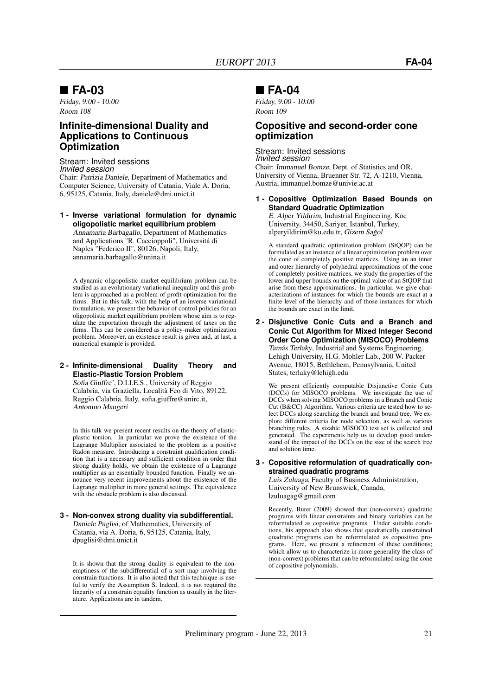### **FA-03**

Friday, 9:00 - 10:00 Room 108

### **Infinite-dimensional Duality and Applications to Continuous Optimization**

#### Stream: Invited sessions *Invited session*

Chair: Patrizia Daniele, Department of Mathematics and Computer Science, University of Catania, Viale A. Doria, 6, 95125, Catania, Italy, daniele@dmi.unict.it

**1 - Inverse variational formulation for dynamic oligopolistic market equilibrium problem** Annamaria Barbagallo, Department of Mathematics and Applications "R. Caccioppoli", Universitá di Naples "Federico II", 80126, Napoli, Italy, annamaria.barbagallo@unina.it

A dynamic oligopolistic market equilibrium problem can be studied as an evolutionary variational inequality and this problem is approached as a problem of profit optimization for the firms. But in this talk, with the help of an inverse variational formulation, we present the behavior of control policies for an oligopolistic market equilibrium problem whose aim is to regulate the exportation through the adjustment of taxes on the firms. This can be considered as a policy-maker optimization problem. Moreover, an existence result is given and, at last, a numerical example is provided.

#### **2 - Infinite-dimensional Duality Theory and Elastic-Plastic Torsion Problem**

Sofia Giuffre', D.I.I.E.S., University of Reggio Calabria, via Graziella, Località Feo di Vito, 89122, Reggio Calabria, Italy, sofia.giuffre@unirc.it, Antonino Maugeri

In this talk we present recent results on the theory of elasticplastic torsion. In particular we prove the existence of the Lagrange Multiplier associated to the problem as a positive Radon measure. Introducing a constraint qualification condition that is a necessary and sufficient condition in order that strong duality holds, we obtain the existence of a Lagrange multiplier as an essentially bounded function. Finally we announce very recent improvements about the existence of the Lagrange multiplier in more general settings. The equivalence with the obstacle problem is also discussed.

#### **3 - Non-convex strong duality via subdifferential.** Daniele Puglisi, of Mathematics, University of Catania, via A. Doria, 6, 95125, Catania, Italy, dpuglisi@dmi.unict.it

It is shown that the strong duality is equivalent to the nonemptiness of the subdifferential of a sort map involving the constrain functions. It is also noted that this technique is useful to verify the Assumption S. Indeed, it is not required the linearity of a constrain equality function as usually in the literature. Applications are in tandem.

### **FA-04**

Friday, 9:00 - 10:00 Room 109

### **Copositive and second-order cone optimization**

### Stream: Invited sessions

*Invited session* Chair: Immanuel Bomze, Dept. of Statistics and OR, University of Vienna, Bruenner Str. 72, A-1210, Vienna, Austria, immanuel.bomze@univie.ac.at

**1 - Copositive Optimization Based Bounds on Standard Quadratic Optimization**

E. Alper Yildirim, Industrial Engineering, Koc University, 34450, Sariyer, Istanbul, Turkey, alperyildirim@ku.edu.tr, Gizem Sağol

A standard quadratic optimization problem (StQOP) can be formulated as an instance of a linear optimization problem over the cone of completely positive matrices. Using an an inner and outer hierarchy of polyhedral approximations of the cone of completely positive matrices, we study the properties of the lower and upper bounds on the optimal value of an StQOP that arise from these approximations. In particular, we give characterizations of instances for which the bounds are exact at a finite level of the hierarchy and of those instances for which the bounds are exact in the limit.

**2 - Disjunctive Conic Cuts and a Branch and Conic Cut Algorithm for Mixed Integer Second Order Cone Optimization (MISOCO) Problems** Tamás Terlaky, Industrial and Systems Engineering, Lehigh University, H.G. Mohler Lab., 200 W. Packer Avenue, 18015, Bethlehem, Pennsylvania, United States, terlaky@lehigh.edu

We present efficiently computable Disjunctive Conic Cuts (DCCs) for MISOCO problems. We investigate the use of DCCs when solving MISOCO problems in a Branch and Conic Cut (B&CC) Algorithm. Various criteria are tested how to select DCCs along searching the branch and bound tree. We explore different criteria for node selection, as well as various branching rules. A sizable MISOCO test set is collected and generated. The experiments help us to develop good understand of the impact of the DCCs on the size of the search tree and solution time.

#### **3 - Copositive reformulation of quadratically constrained quadratic programs** Luis Zuluaga, Faculty of Business Administration,

University of New Brunswick, Canada, lzuluagag@gmail.com

Recently, Burer (2009) showed that (non-convex) quadratic programs with linear constraints and binary variables can be reformulated as copositive programs. Under suitable conditions, his approach also shows that quadratically constrained quadratic programs can be reformulated as copositive programs. Here, we present a refinement of these conditions; which allow us to characterize in more generality the class of (non-convex) problems that can be reformulated using the cone of copositive polynomials.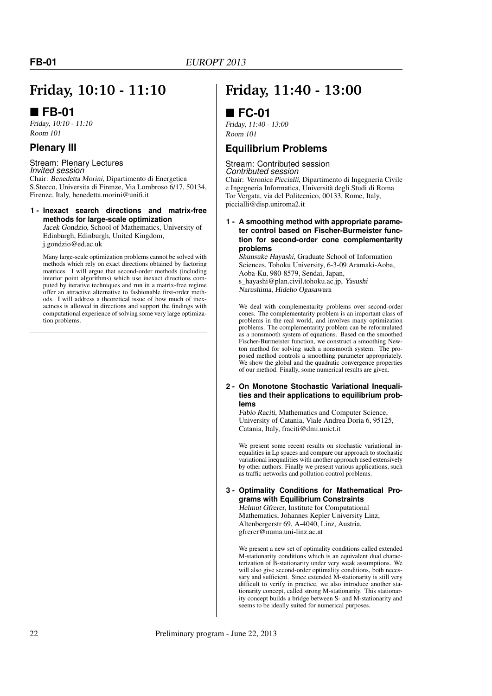## **Friday, 10:10 - 11:10**

### ■ FB-01

Friday, 10:10 - 11:10 Room 101

### **Plenary III**

### Stream: Plenary Lectures

*Invited session* Chair: Benedetta Morini, Dipartimento di Energetica S.Stecco, Universita di Firenze, Via Lombroso 6/17, 50134, Firenze, Italy, benedetta.morini@unifi.it

#### **1 - Inexact search directions and matrix-free methods for large-scale optimization**

Jacek Gondzio, School of Mathematics, University of Edinburgh, Edinburgh, United Kingdom, j.gondzio@ed.ac.uk

Many large-scale optimization problems cannot be solved with methods which rely on exact directions obtained by factoring matrices. I will argue that second-order methods (including interior point algorithms) which use inexact directions computed by iterative techniques and run in a matrix-free regime offer an attractive alternative to fashionable first-order methods. I will address a theoretical issue of how much of inexactness is allowed in directions and support the findings with computational experience of solving some very large optimization problems.

## **Friday, 11:40 - 13:00**

### **FC-01**

Friday, 11:40 - 13:00 Room 101

### **Equilibrium Problems**

#### Stream: Contributed session *Contributed session*

Chair: Veronica Piccialli, Dipartimento di Ingegneria Civile e Ingegneria Informatica, Università degli Studi di Roma Tor Vergata, via del Politecnico, 00133, Rome, Italy, piccialli@disp.uniroma2.it

#### **1 - A smoothing method with appropriate parameter control based on Fischer-Burmeister function for second-order cone complementarity problems**

Shunsuke Hayashi, Graduate School of Information Sciences, Tohoku University, 6-3-09 Aramaki-Aoba, Aoba-Ku, 980-8579, Sendai, Japan, s\_hayashi@plan.civil.tohoku.ac.jp, Yasushi Narushima, Hideho Ogasawara

We deal with complementarity problems over second-order cones. The complementarity problem is an important class of problems in the real world, and involves many optimization problems. The complementarity problem can be reformulated as a nonsmooth system of equations. Based on the smoothed Fischer-Burmeister function, we construct a smoothing Newton method for solving such a nonsmooth system. The proposed method controls a smoothing parameter appropriately. We show the global and the quadratic convergence properties of our method. Finally, some numerical results are given.

#### **2 - On Monotone Stochastic Variational Inequalities and their applications to equilibrium problems**

Fabio Raciti, Mathematics and Computer Science, University of Catania, Viale Andrea Doria 6, 95125, Catania, Italy, fraciti@dmi.unict.it

We present some recent results on stochastic variational inequalities in Lp spaces and compare our approach to stochastic variational inequalities with another approach used extensively by other authors. Finally we present various applications, such as traffic networks and pollution control problems.

### **3 - Optimality Conditions for Mathematical Programs with Equilibrium Constraints**

Helmut Gfrerer, Institute for Computational Mathematics, Johannes Kepler University Linz, Altenbergerstr 69, A-4040, Linz, Austria, gfrerer@numa.uni-linz.ac.at

We present a new set of optimality conditions called extended M-stationarity conditions which is an equivalent dual characterization of B-stationarity under very weak assumptions. We will also give second-order optimality conditions, both necessary and sufficient. Since extended M-stationarity is still very difficult to verify in practice, we also introduce another stationarity concept, called strong M-stationarity. This stationarity concept builds a bridge between S- and M-stationarity and seems to be ideally suited for numerical purposes.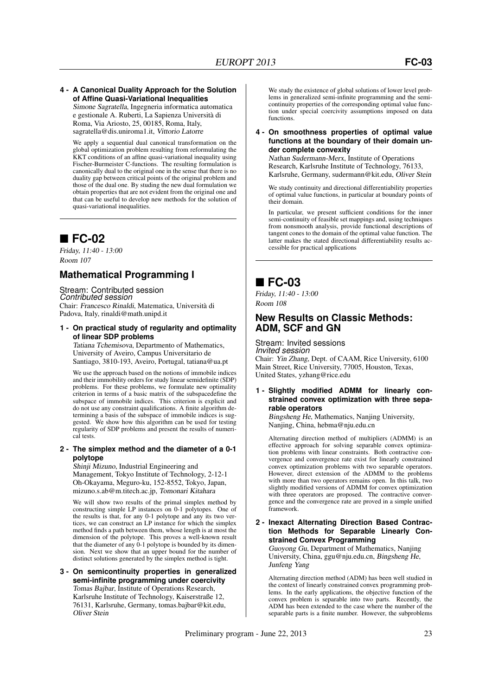#### **4 - A Canonical Duality Approach for the Solution of Affine Quasi-Variational Inequalities**

Simone Sagratella, Ingegneria informatica automatica e gestionale A. Ruberti, La Sapienza Università di Roma, Via Ariosto, 25, 00185, Roma, Italy, sagratella@dis.uniroma1.it, Vittorio Latorre

We apply a sequential dual canonical transformation on the global optimization problem resulting from reformulating the KKT conditions of an affine quasi-variational inequality using Fischer-Burmeister C-functions. The resulting formulation is canonically dual to the original one in the sense that there is no duality gap between critical points of the original problem and those of the dual one. By studing the new dual formulation we obtain properties that are not evident from the original one and that can be useful to develop new methods for the solution of quasi-variational inequalities.

### **FC-02**

Friday, 11:40 - 13:00 Room 107

### **Mathematical Programming I**

Stream: Contributed session *Contributed session* Chair: Francesco Rinaldi, Matematica, Università di Padova, Italy, rinaldi@math.unipd.it

#### **1 - On practical study of regularity and optimality of linear SDP problems**

Tatiana Tchemisova, Departmento of Mathematics, University of Aveiro, Campus Universitario de Santiago, 3810-193, Aveiro, Portugal, tatiana@ua.pt

We use the approach based on the notions of immobile indices and their immobility orders for study linear semidefinite (SDP) problems. For these problems, we formulate new optimality criterion in terms of a basic matrix of the subspacedefine the subspace of immobile indices. This criterion is explicit and do not use any constraint qualifications. A finite algorithm determining a basis of the subspace of immobile indices is suggested. We show how this algorithm can be used for testing regularity of SDP problems and present the results of numerical tests.

#### **2 - The simplex method and the diameter of a 0-1 polytope**

Shinji Mizuno, Industrial Engineering and Management, Tokyo Institute of Technology, 2-12-1 Oh-Okayama, Meguro-ku, 152-8552, Tokyo, Japan, mizuno.s.ab@m.titech.ac.jp, Tomonari Kitahara

We will show two results of the primal simplex method by constructing simple LP instances on 0-1 polytopes. One of the results is that, for any 0-1 polytope and any its two vertices, we can construct an LP instance for which the simplex method finds a path between them, whose length is at most the dimension of the polytope. This proves a well-known result that the diameter of any 0-1 polytope is bounded by its dimension. Next we show that an upper bound for the number of distinct solutions generated by the simplex method is tight.

**3 - On semicontinuity properties in generalized semi-infinite programming under coercivity** Tomas Bajbar, Institute of Operations Research, Karlsruhe Institute of Technology, Kaiserstraße 12, 76131, Karlsruhe, Germany, tomas.bajbar@kit.edu, Oliver Stein

We study the existence of global solutions of lower level problems in generalized semi-infinite programming and the semicontinuity properties of the corresponding optimal value function under special coercivity assumptions imposed on data functions.

#### **4 - On smoothness properties of optimal value functions at the boundary of their domain under complete convexity**

Nathan Sudermann-Merx, Institute of Operations Research, Karlsruhe Institute of Technology, 76133, Karlsruhe, Germany, sudermann@kit.edu, Oliver Stein

We study continuity and directional differentiability properties of optimal value functions, in particular at boundary points of their domain.

In particular, we present sufficient conditions for the inner semi-continuity of feasible set mappings and, using techniques from nonsmooth analysis, provide functional descriptions of tangent cones to the domain of the optimal value function. The latter makes the stated directional differentiability results accessible for practical applications

### **FC-03**

Friday, 11:40 - 13:00 Room 108

### **New Results on Classic Methods: ADM, SCF and GN**

#### Stream: Invited sessions *Invited session*

Chair: Yin Zhang, Dept. of CAAM, Rice University, 6100 Main Street, Rice University, 77005, Houston, Texas, United States, yzhang@rice.edu

#### **1 - Slightly modified ADMM for linearly constrained convex optimization with three separable operators**

Bingsheng He, Mathematics, Nanjing University, Nanjing, China, hebma@nju.edu.cn

Alternating direction method of multipliers (ADMM) is an effective approach for solving separable convex optimization problems with linear constraints. Both contractive convergence and convergence rate exist for linearly constrained convex optimization problems with two separable operators. However, direct extension of the ADMM to the problems with more than two operators remains open. In this talk, two slightly modified versions of ADMM for convex optimization with three operators are proposed. The contractive convergence and the convergence rate are proved in a simple unified framework.

#### **2 - Inexact Alternating Direction Based Contraction Methods for Separable Linearly Constrained Convex Programming**

Guoyong Gu, Department of Mathematics, Nanjing University, China, ggu@nju.edu.cn, Bingsheng He, Junfeng Yang

Alternating direction method (ADM) has been well studied in the context of linearly constrained convex programming problems. In the early applications, the objective function of the convex problem is separable into two parts. Recently, the ADM has been extended to the case where the number of the separable parts is a finite number. However, the subproblems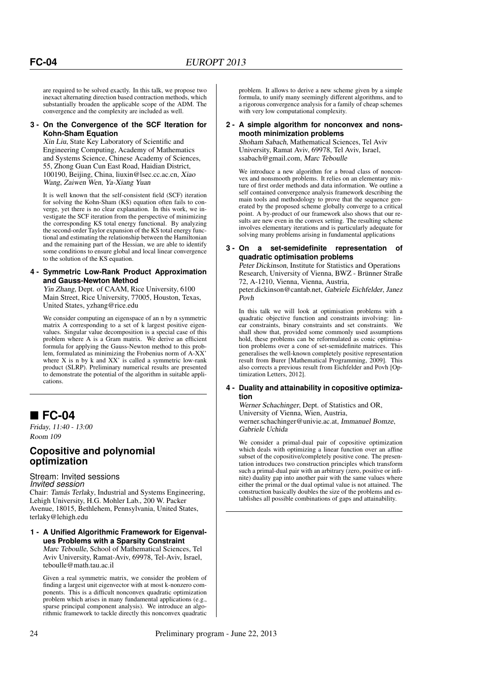are required to be solved exactly. In this talk, we propose two inexact alternating direction based contraction methods, which substantially broaden the applicable scope of the ADM. The convergence and the complexity are included as well.

#### **3 - On the Convergence of the SCF Iteration for Kohn-Sham Equation**

Xin Liu, State Key Laboratory of Scientific and Engineering Computing, Academy of Mathematics and Systems Science, Chinese Academy of Sciences, 55, Zhong Guan Cun East Road, Haidian District, 100190, Beijing, China, liuxin@lsec.cc.ac.cn, Xiao Wang, Zaiwen Wen, Ya-Xiang Yuan

It is well known that the self-consistent field (SCF) iteration for solving the Kohn-Sham (KS) equation often fails to converge, yet there is no clear explanation. In this work, we investigate the SCF iteration from the perspective of minimizing the corresponding KS total energy functional. By analyzing the second-order Taylor expansion of the KS total energy functional and estimating the relationship between the Hamiltonian and the remaining part of the Hessian, we are able to identify some conditions to ensure global and local linear convergence to the solution of the KS equation.

#### **4 - Symmetric Low-Rank Product Approximation and Gauss-Newton Method**

Yin Zhang, Dept. of CAAM, Rice University, 6100 Main Street, Rice University, 77005, Houston, Texas, United States, yzhang@rice.edu

We consider computing an eigenspace of an n by n symmetric matrix A corresponding to a set of k largest positive eigenvalues. Singular value decomposition is a special case of this problem where A is a Gram matrix. We derive an efficient formula for applying the Gauss-Newton method to this problem, formulated as minimizing the Frobenius norm of A-XX' where  $X$  is n by  $k$  and  $XX'$  is called a symmetric low-rank product (SLRP). Preliminary numerical results are presented to demonstrate the potential of the algorithm in suitable applications.

### **FC-04**

Friday, 11:40 - 13:00 Room 109

### **Copositive and polynomial optimization**

#### Stream: Invited sessions *Invited session*

Chair: Tamás Terlaky, Industrial and Systems Engineering, Lehigh University, H.G. Mohler Lab., 200 W. Packer Avenue, 18015, Bethlehem, Pennsylvania, United States, terlaky@lehigh.edu

#### **1 - A Unified Algorithmic Framework for Eigenvalues Problems with a Sparsity Constraint**

Marc Teboulle, School of Mathematical Sciences, Tel Aviv University, Ramat-Aviv, 69978, Tel-Aviv, Israel, teboulle@math.tau.ac.il

Given a real symmetric matrix, we consider the problem of finding a largest unit eigenvector with at most k-nonzero components. This is a difficult nonconvex quadratic optimization problem which arises in many fundamental applications (e.g., sparse principal component analysis). We introduce an algorithmic framework to tackle directly this nonconvex quadratic

problem. It allows to derive a new scheme given by a simple formula, to unify many seemingly different algorithms, and to a rigorous convergence analysis for a family of cheap schemes with very low computational complexity.

#### **2 - A simple algorithm for nonconvex and nonsmooth minimization problems**

Shoham Sabach, Mathematical Sciences, Tel Aviv University, Ramat Aviv, 69978, Tel Aviv, Israel, ssabach@gmail.com, Marc Teboulle

We introduce a new algorithm for a broad class of nonconvex and nonsmooth problems. It relies on an elementary mixture of first order methods and data information. We outline a self contained convergence analysis framework describing the main tools and methodology to prove that the sequence generated by the proposed scheme globally converge to a critical point. A by-product of our framework also shows that our results are new even in the convex setting. The resulting scheme involves elementary iterations and is particularly adequate for solving many problems arising in fundamental applications

#### **3 - On a set-semidefinite representation of quadratic optimisation problems**

Peter Dickinson, Institute for Statistics and Operations Research, University of Vienna, BWZ - Brünner Straße 72, A-1210, Vienna, Vienna, Austria,

peter.dickinson@cantab.net, Gabriele Eichfelder, Janez Povh

In this talk we will look at optimisation problems with a quadratic objective function and constraints involving: linear constraints hinary constraints and set constraints. We ear constraints, binary constraints and set constraints. shall show that, provided some commonly used assumptions hold, these problems can be reformulated as conic optimisation problems over a cone of set-semidefinite matrices. This generalises the well-known completely positive representation result from Burer [Mathematical Programming, 2009]. This also corrects a previous result from Eichfelder and Povh [Optimization Letters, 2012].

#### **4 - Duality and attainability in copositive optimization**

Werner Schachinger, Dept. of Statistics and OR, University of Vienna, Wien, Austria, werner.schachinger@univie.ac.at, Immanuel Bomze, Gabriele Uchida

We consider a primal-dual pair of copositive optimization which deals with optimizing a linear function over an affine subset of the copositive/completely positive cone. The presentation introduces two construction principles which transform such a primal-dual pair with an arbitrary (zero, positive or infinite) duality gap into another pair with the same values where either the primal or the dual optimal value is not attained. The construction basically doubles the size of the problems and establishes all possible combinations of gaps and attainability.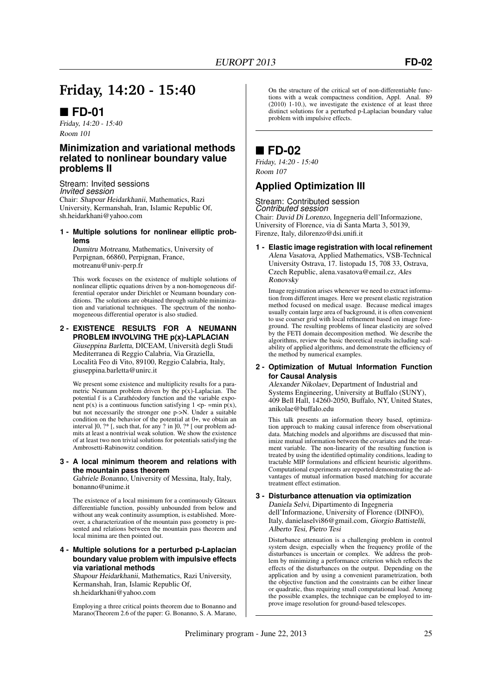## **Friday, 14:20 - 15:40**

### **FD-01**

Friday, 14:20 - 15:40 Room 101

### **Minimization and variational methods related to nonlinear boundary value problems II**

Stream: Invited sessions *Invited session* Chair: Shapour Heidarkhanii, Mathematics, Razi University, Kermanshah, Iran, Islamic Republic Of, sh.heidarkhani@yahoo.com

**1 - Multiple solutions for nonlinear elliptic problems**

Dumitru Motreanu, Mathematics, University of Perpignan, 66860, Perpignan, France, motreanu@univ-perp.fr

This work focuses on the existence of multiple solutions of nonlinear elliptic equations driven by a non-homogeneous differential operator under Dirichlet or Neumann boundary conditions. The solutions are obtained through suitable minimization and variational techniques. The spectrum of the nonhomogeneous differential operator is also studied.

#### **2 - EXISTENCE RESULTS FOR A NEUMANN PROBLEM INVOLVING THE p(x)-LAPLACIAN** Giuseppina Barletta, DICEAM, Università degli Studi Mediterranea di Reggio Calabria, Via Graziella, Località Feo di Vito, 89100, Reggio Calabria, Italy, giuseppina.barletta@unirc.it

We present some existence and multiplicity results for a parametric Neumann problem driven by the  $p(x)$ -Laplacian. The potential f is a Carathéodory function and the variable exponent  $p(x)$  is a continuous function satisfying  $1 \le p$ - =min  $p(x)$ , but not necessarily the stronger one p->N. Under a suitable condition on the behavior of the potential at 0+, we obtain an interval ]0, ?\* [, such that, for any ? in ]0, ?\* [ our problem admits at least a nontrivial weak solution. We show the existence of at least two non trivial solutions for potentials satisfying the Ambrosetti-Rabinowitz condition.

#### **3 - A local minimum theorem and relations with the mountain pass theorem**

Gabriele Bonanno, University of Messina, Italy, Italy, bonanno@unime.it

The existence of a local minimum for a continuously Gâteaux differentiable function, possibly unbounded from below and without any weak continuity assumption, is established. Moreover, a characterization of the mountain pass geometry is presented and relations between the mountain pass theorem and local minima are then pointed out.

#### **4 - Multiple solutions for a perturbed p-Laplacian boundary value problem with impulsive effects via variational methods**

Shapour Heidarkhanii, Mathematics, Razi University, Kermanshah, Iran, Islamic Republic Of, sh.heidarkhani@yahoo.com

Employing a three critical points theorem due to Bonanno and Marano(Theorem 2.6 of the paper: G. Bonanno, S. A. Marano,

On the structure of the critical set of non-differentiable functions with a weak compactness condition, Appl. Anal. 89 (2010) 1-10.), we investigate the existence of at least three distinct solutions for a perturbed p-Laplacian boundary value problem with impulsive effects.

### **FD-02**

Friday, 14:20 - 15:40 Room 107

### **Applied Optimization III**

#### Stream: Contributed session *Contributed session*

Chair: David Di Lorenzo, Ingegneria dell'Informazione, University of Florence, via di Santa Marta 3, 50139, Firenze, Italy, dilorenzo@dsi.unifi.it

#### **1 - Elastic image registration with local refinement** Alena Vasatova, Applied Mathematics, VSB-Technical

University Ostrava, 17. listopadu 15, 708 33, Ostrava, Czech Republic, alena.vasatova@email.cz, Ales Ronovsky

Image registration arises whenever we need to extract information from different images. Here we present elastic registration method focused on medical usage. Because medical images usually contain large area of background, it is often convenient to use coarser grid with local refinement based on image foreground. The resulting problems of linear elasticity are solved by the FETI domain decomposition method. We describe the algorithms, review the basic theoretical results including scalability of applied algorithms, and demonstrate the efficiency of the method by numerical examples.

#### **2 - Optimization of Mutual Information Function for Causal Analysis**

Alexander Nikolaev, Department of Industrial and Systems Engineering, University at Buffalo (SUNY), 409 Bell Hall, 14260-2050, Buffalo, NY, United States, anikolae@buffalo.edu

This talk presents an information theory based, optimization approach to making causal inference from observational data. Matching models and algorithms are discussed that minimize mutual information between the covariates and the treatment variable. The non-linearity of the resulting function is treated by using the identified optimality conditions, leading to tractable MIP formulations and efficient heuristic algorithms. Computational experiments are reported demonstrating the advantages of mutual information based matching for accurate treatment effect estimation.

#### **3 - Disturbance attenuation via optimization** Daniela Selvi, Dipartimento di Ingegneria dell'Informazione, University of Florence (DINFO), Italy, danielaselvi86@gmail.com, Giorgio Battistelli, Alberto Tesi, Pietro Tesi

Disturbance attenuation is a challenging problem in control system design, especially when the frequency profile of the disturbances is uncertain or complex. We address the problem by minimizing a performance criterion which reflects the effects of the disturbances on the output. Depending on the application and by using a convenient parametrization, both the objective function and the constraints can be either linear or quadratic, thus requiring small computational load. Among the possible examples, the technique can be employed to improve image resolution for ground-based telescopes.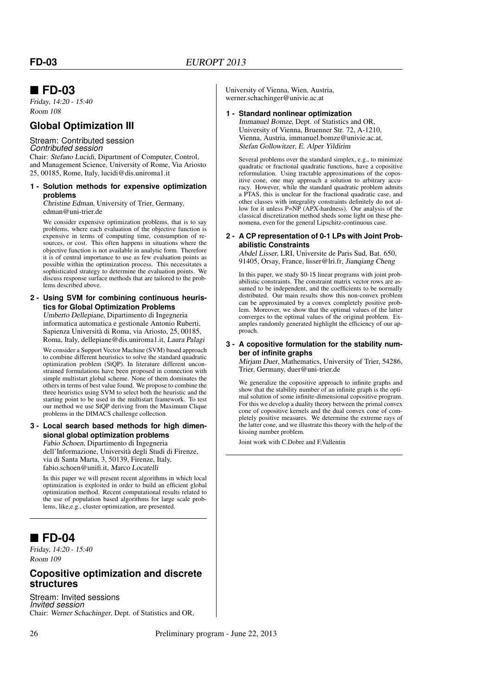### **FD-03**

Friday, 14:20 - 15:40 Room 108

### **Global Optimization III**

#### Stream: Contributed session *Contributed session*

Chair: Stefano Lucidi, Dipartment of Computer, Control, and Management Science, University of Rome, Via Ariosto 25, 00185, Rome, Italy, lucidi@dis.uniroma1.it

#### **1 - Solution methods for expensive optimization problems**

Christine Edman, University of Trier, Germany, edman@uni-trier.de

We consider expensive optimization problems, that is to say problems, where each evaluation of the objective function is expensive in terms of computing time, consumption of resources, or cost. This often happens in situations where the objective function is not available in analytic form. Therefore it is of central importance to use as few evaluation points as possible within the optimization process. This necessitates a sophisticated strategy to determine the evaluation points. We discuss response surface methods that are tailored to the problems described above.

#### **2 - Using SVM for combining continuous heuristics for Global Optimization Problems**

Umberto Dellepiane, Dipartimento di Ingegneria informatica automatica e gestionale Antonio Ruberti, Sapienza Università di Roma, via Ariosto, 25, 00185, Roma, Italy, dellepiane@dis.uniroma1.it, Laura Palagi

We consider a Support Vector Machine (SVM) based approach to combine different heuristics to solve the standard quadratic optimization problem (StQP). In literature different unconstrained formulations have been proposed in connection with simple multistart global scheme. None of them dominates the others in terms of best value found. We propose to combine the three heuristics using SVM to select both the heuristic and the starting point to be used in the multistart framework. To test our method we use StQP deriving from the Maximum Clique problems in the DIMACS challenge collection.

#### **3 - Local search based methods for high dimensional global optimization problems**

Fabio Schoen, Dipartimento di Ingegneria dell'Informazione, Università degli Studi di Firenze, via di Santa Marta, 3, 50139, Firenze, Italy, fabio.schoen@unifi.it, Marco Locatelli

In this paper we will present recent algorithms in which local optimization is exploited in order to build an efficient global optimization method. Recent computational results related to the use of population based algorithms for large scale problems, like,e.g., cluster optimization, are presented.

### **FD-04**

Friday, 14:20 - 15:40 Room 109

### **Copositive optimization and discrete structures**

Stream: Invited sessions *Invited session* Chair: Werner Schachinger, Dept. of Statistics and OR, University of Vienna, Wien, Austria, werner.schachinger@univie.ac.at

#### **1 - Standard nonlinear optimization** Immanuel Bomze, Dept. of Statistics and OR,

University of Vienna, Bruenner Str. 72, A-1210, Vienna, Austria, immanuel.bomze@univie.ac.at, Stefan Gollowitzer, E. Alper Yildirim

Several problems over the standard simplex, e.g., to minimize quadratic or fractional quadratic functions, have a copositive reformulation. Using tractable approximations of the copositive cone, one may approach a solution to arbitrary accuracy. However, while the standard quadratic problem admits a PTAS, this is unclear for the fractional quadratic case, and other classes with integrality constraints definitely do not allow for it unless P=NP (APX-hardness). Our analysis of the classical discretization method sheds some light on these phenomena, even for the general Lipschitz-continuous case.

#### **2 - A CP representation of 0-1 LPs with Joint Probabilistic Constraints**

Abdel Lisser, LRI, Universite de Paris Sud, Bat. 650, 91405, Orsay, France, lisser@lri.fr, Jianqiang Cheng

In this paper, we study \$0-1\$ linear programs with joint probabilistic constraints. The constraint matrix vector rows are assumed to be independent, and the coefficients to be normally distributed. Our main results show this non-convex problem can be approximated by a convex completely positive problem. Moreover, we show that the optimal values of the latter converges to the optimal values of the original problem. Examples randomly generated highlight the efficiency of our approach.

#### **3 - A copositive formulation for the stability number of infinite graphs**

Mirjam Duer, Mathematics, University of Trier, 54286, Trier, Germany, duer@uni-trier.de

We generalize the copositive approach to infinite graphs and show that the stability number of an infinite graph is the optimal solution of some infinite-dimensional copositive program. For this we develop a duality theory between the primal convex cone of copositive kernels and the dual convex cone of completely positive measures. We determine the extreme rays of the latter cone, and we illustrate this theory with the help of the kissing number problem.

Joint work with C.Dobre and F.Vallentin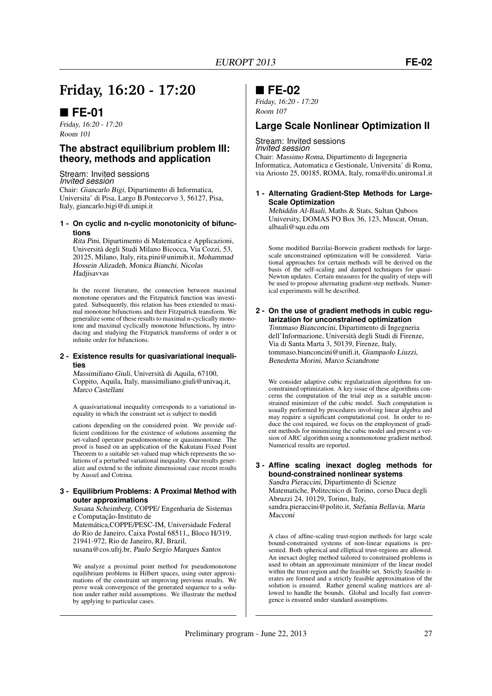## **Friday, 16:20 - 17:20**

### **FE-01**

Friday, 16:20 - 17:20 Room 101

### **The abstract equilibrium problem III: theory, methods and application**

Stream: Invited sessions *Invited session* Chair: Giancarlo Bigi, Dipartimento di Informatica, Universita' di Pisa, Largo B.Pontecorvo 3, 56127, Pisa, Italy, giancarlo.bigi@di.unipi.it

#### **1 - On cyclic and n-cyclic monotonicity of bifunctions**

Rita Pini, Dipartimento di Matematica e Applicazioni, Università degli Studi Milano Bicocca, Via Cozzi, 53, 20125, Milano, Italy, rita.pini@unimib.it, Mohammad Hossein Alizadeh, Monica Bianchi, Nicolas Hadiisavvas

In the recent literature, the connection between maximal monotone operators and the Fitzpatrick function was investigated. Subsequently, this relation has been extended to maximal monotone bifunctions and their Fitzpatrick transform. We generalize some of these results to maximal n-cyclically monotone and maximal cyclically monotone bifunctions, by introducing and studying the Fitzpatrick transforms of order n or infinite order for bifunctions.

#### **2 - Existence results for quasivariational inequalities**

Massimiliano Giuli, Università di Aquila, 67100, Coppito, Aquila, Italy, massimiliano.giuli@univaq.it, Marco Castellani

A quasivariational inequality corresponds to a variational inequality in which the constraint set is subject to modifi

cations depending on the considered point. We provide sufficient conditions for the existence of solutions assuming the set-valued operator pseudomonotone or quasimonotone. The proof is based on an application of the Kakutani Fixed Point Theorem to a suitable set-valued map which represents the solutions of a perturbed variational inequality. Our results generalize and extend to the infinite dimensional case recent results by Aussel and Cotrina.

#### **3 - Equilibrium Problems: A Proximal Method with outer approximations**

Susana Scheimberg, COPPE/ Engenharia de Sistemas e Computação-Instituto de Matemática,COPPE/PESC-IM, Universidade Federal do Rio de Janeiro, Caixa Postal 68511,, Bloco H/319, 21941-972, Rio de Janeiro, RJ, Brazil, susana@cos.ufrj.br, Paulo Sergio Marques Santos

We analyze a proximal point method for pseudomonotone equilibrium problems in Hilbert spaces, using outer approximations of the constraint set improving previous results. We prove weak convergence of the generated sequence to a solution under rather mild assumptions. We illustrate the method by applying to particular cases.

### **FE-02**

Friday, 16:20 - 17:20 Room 107

### **Large Scale Nonlinear Optimization II**

#### Stream: Invited sessions *Invited session*

Chair: Massimo Roma, Dipartimento di Ingegneria Informatica, Automatica e Gestionale, Universita' di Roma, via Ariosto 25, 00185, ROMA, Italy, roma@dis.uniroma1.it

**1 - Alternating Gradient-Step Methods for Large-Scale Optimization**

Mehiddin Al-Baali, Maths & Stats, Sultan Qaboos University, DOMAS PO Box 36, 123, Muscat, Oman, albaali@squ.edu.om

Some modified Barzilai-Borwein gradient methods for largescale unconstrained optimization will be considered. Variational approaches for certain methods will be derived on the basis of the self-scaling and damped techniques for quasi-Newton updates. Certain measures for the quality of steps will be used to propose alternating gradient-step methods. Numerical experiments will be described.

### **2 - On the use of gradient methods in cubic regularization for unconstrained optimization**

Tommaso Bianconcini, Dipartimento di Ingegneria dell'Informazione, Università degli Studi di Firenze, Via di Santa Marta 3, 50139, Firenze, Italy, tommaso.bianconcini@unifi.it, Giampaolo Liuzzi, Benedetta Morini, Marco Sciandrone

We consider adaptive cubic regularization algorithms for unconstrained optimization. A key issue of these algorithms concerns the computation of the trial step as a suitable unconstrained minimizer of the cubic model. Such computation is usually performed by procedures involving linear algebra and may require a significant computational cost. In order to reduce the cost required, we focus on the employment of gradient methods for minimizing the cubic model and present a version of ARC algorithm using a nonmonotone gradient method. Numerical results are reported.

#### **3 - Affine scaling inexact dogleg methods for bound-constrained nonlinear systems** Sandra Pieraccini, Dipartimento di Scienze Matematiche, Politecnico di Torino, corso Duca degli

Abruzzi 24, 10129, Torino, Italy, sandra.pieraccini@polito.it, Stefania Bellavia, Maria Macconi

A class of affine-scaling trust-region methods for large scale bound-constrained systems of non-linear equations is presented. Both spherical and elliptical trust-regions are allowed. An inexact dogleg method tailored to constrained problems is used to obtain an approximate minimizer of the linear model within the trust-region and the feasible set. Strictly feasible iterates are formed and a strictly feasible approximation of the solution is ensured. Rather general scaling matrices are allowed to handle the bounds. Global and locally fast convergence is ensured under standard assumptions.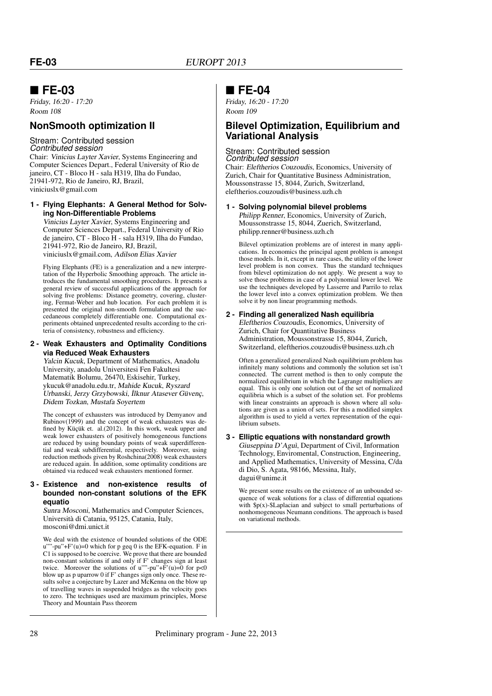### **FE-03**

Friday, 16:20 - 17:20 Room 108

### **NonSmooth optimization II**

#### Stream: Contributed session *Contributed session*

Chair: Vinicius Layter Xavier, Systems Engineering and Computer Sciences Depart., Federal University of Rio de janeiro, CT - Bloco H - sala H319, Ilha do Fundao, 21941-972, Rio de Janeiro, RJ, Brazil, viniciuslx@gmail.com

#### **1 - Flying Elephants: A General Method for Solving Non-Differentiable Problems**

Vinicius Layter Xavier, Systems Engineering and Computer Sciences Depart., Federal University of Rio de janeiro, CT - Bloco H - sala H319, Ilha do Fundao, 21941-972, Rio de Janeiro, RJ, Brazil, viniciuslx@gmail.com, Adilson Elias Xavier

Flying Elephants (FE) is a generalization and a new interpretation of the Hyperbolic Smoothing approach. The article introduces the fundamental smoothing procedures. It presents a general review of successful applications of the approach for solving five problems: Distance geometry, covering, clustering, Fermat-Weber and hub location. For each problem it is presented the original non-smooth formulation and the succedaneous completely differentiable one. Computational experiments obtained unprecedented results according to the criteria of consistency, robustness and efficiency.

#### **2 - Weak Exhausters and Optimality Conditions via Reduced Weak Exhausters**

Yalcin Kucuk, Department of Mathematics, Anadolu University, anadolu Universitesi Fen Fakultesi Matematik Bolumu, 26470, Eskisehir, Turkey, ykucuk@anadolu.edu.tr, Mahide Kucuk, Ryszard Urbanski, Jerzy Grzybowski, ˙Ilknur Atasever Güvenç, Didem Tozkan, Mustafa Soyertem

The concept of exhausters was introduced by Demyanov and Rubinov(1999) and the concept of weak exhausters was defined by Küçük et. al.(2012). In this work, weak upper and weak lower exhausters of positively homogeneous functions are reduced by using boundary points of weak superdifferential and weak subdifferential, respectively. Moreover, using reduction methods given by Roshchina(2008) weak exhausters are reduced again. In addition, some optimality conditions are obtained via reduced weak exhausters mentioned former.

#### **3 - Existence and non-existence results of bounded non-constant solutions of the EFK equatio**

Sunra Mosconi, Mathematics and Computer Sciences, Università di Catania, 95125, Catania, Italy, mosconi@dmi.unict.it

We deal with the existence of bounded solutions of the ODE '-pu"+ $F'(u)=0$  which for p geq 0 is the EFK-equation. F in C1 is supposed to be coercive. We prove that there are bounded non-constant solutions if and only if F' changes sign at least twice. Moreover the solutions of u'''-pu''+F'(u)=0 for  $p<0$ blow up as p uparrow 0 if F' changes sign only once. These results solve a conjecture by Lazer and McKenna on the blow up of travelling waves in suspended bridges as the velocity goes to zero. The techniques used are maximum principles, Morse Theory and Mountain Pass theorem

### **FE-04**

Friday, 16:20 - 17:20 Room 109

### **Bilevel Optimization, Equilibrium and Variational Analysis**

### Stream: Contributed session

*Contributed session* Chair: Eleftherios Couzoudis, Economics, University of Zurich, Chair for Quantitative Business Administration, Moussonstrasse 15, 8044, Zurich, Switzerland, eleftherios.couzoudis@business.uzh.ch

#### **1 - Solving polynomial bilevel problems**

Philipp Renner, Economics, University of Zurich, Moussonstrasse 15, 8044, Zuerich, Switzerland, philipp.renner@business.uzh.ch

Bilevel optimization problems are of interest in many applications. In economics the principal agent problem is amongst those models. In it, except in rare cases, the utility of the lower level problem is non convex. Thus the standard techniques from bilevel optimization do not apply. We present a way to solve those problems in case of a polynomial lower level. We use the techniques developed by Lasserre and Parrilo to relax the lower level into a convex optimization problem. We then solve it by non linear programming methods

#### **2 - Finding all generalized Nash equilibria**

Eleftherios Couzoudis, Economics, University of Zurich, Chair for Quantitative Business Administration, Moussonstrasse 15, 8044, Zurich, Switzerland, eleftherios.couzoudis@business.uzh.ch

Often a generalized generalized Nash equilibrium problem has infinitely many solutions and commonly the solution set isn't connected. The current method is then to only compute the normalized equilibrium in which the Lagrange multipliers are equal. This is only one solution out of the set of normalized equilibria which is a subset of the solution set. For problems with linear constraints an approach is shown where all solutions are given as a union of sets. For this a modified simplex algorithm is used to yield a vertex representation of the equilibrium subsets.

#### **3 - Elliptic equations with nonstandard growth**

Giuseppina D'Aguì, Department of Civil, Information Technology, Enviromental, Construction, Engineering, and Applied Mathematics, University of Messina, C/da di Dio, S. Agata, 98166, Messina, Italy, dagui@unime.it

We present some results on the existence of an unbounded sequence of weak solutions for a class of differential equations with  $p(x)$ -\$Laplacian and subject to small perturbations of nonhomogeneous Neumann conditions. The approach is based on variational methods.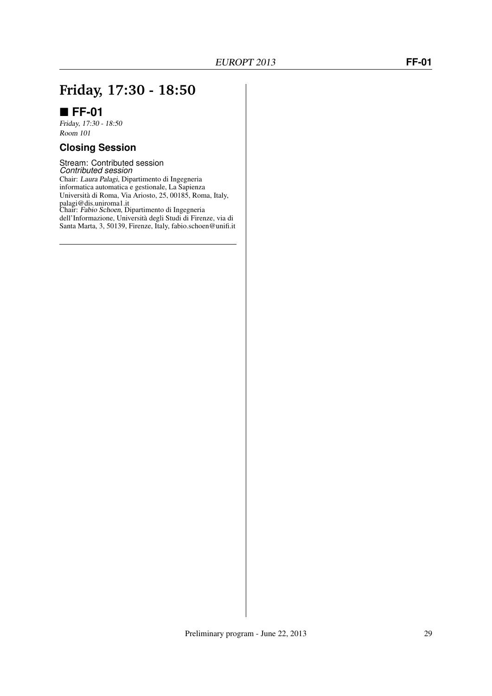## **Friday, 17:30 - 18:50**

### **FF-01**

Friday, 17:30 - 18:50 Room 101

### **Closing Session**

Stream: Contributed session *Contributed session* Chair: Laura Palagi, Dipartimento di Ingegneria informatica automatica e gestionale, La Sapienza Università di Roma, Via Ariosto, 25, 00185, Roma, Italy, palagi@dis.uniroma1.it Chair: Fabio Schoen, Dipartimento di Ingegneria dell'Informazione, Università degli Studi di Firenze, via di Santa Marta, 3, 50139, Firenze, Italy, fabio.schoen@unifi.it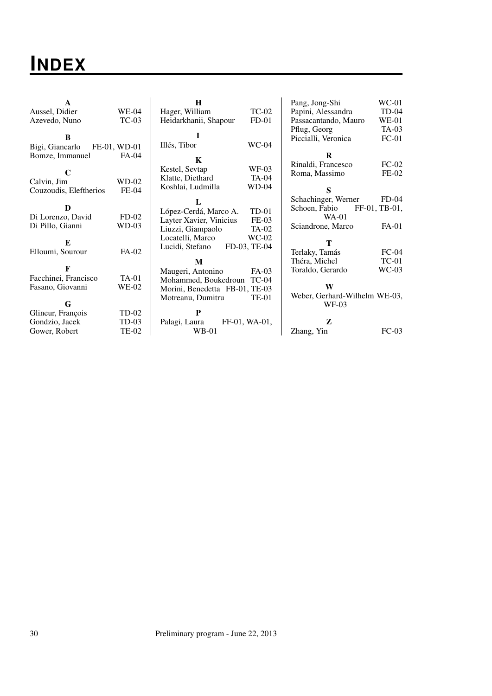## **INDEX**

| A<br>Aussel, Didier                           | WE-04            | H<br>Hager, William                                                                              | <b>TC-02</b>                | Pang, Jong-Shi<br>Papini, Alessandra                            | $WC-01$<br>$TD-04$       |
|-----------------------------------------------|------------------|--------------------------------------------------------------------------------------------------|-----------------------------|-----------------------------------------------------------------|--------------------------|
| Azevedo, Nuno                                 | $TC-03$          | Heidarkhanii, Shapour                                                                            | $FD-01$                     | Passacantando, Mauro                                            | $WE-01$                  |
| B<br>Bigi, Giancarlo                          | FE-01, WD-01     | I<br>Illés, Tibor                                                                                | $WC-04$                     | Pflug, Georg<br>Piccialli, Veronica                             | $TA-03$<br>$FC-01$       |
| Bomze, Immanuel                               | FA-04            | K                                                                                                |                             | R                                                               |                          |
| C<br>Calvin, Jim                              | $WD-02$          | Kestel, Sevtap<br>Klatte, Diethard                                                               | WF-03<br><b>TA-04</b>       | Rinaldi, Francesco<br>Roma, Massimo                             | $FC-02$<br>$FE-02$       |
| Couzoudis, Eleftherios                        | $FE-04$          | Koshlai, Ludmilla                                                                                | $WD-04$                     | S                                                               |                          |
| D<br>Di Lorenzo, David                        | $FD-02$          | López-Cerdá, Marco A.                                                                            | $TD-01$                     | Schachinger, Werner<br>Schoen, Fabio<br>$WA-01$                 | $FD-04$<br>FF-01, TB-01, |
| Di Pillo, Gianni<br>E                         | $WD-03$          | Layter Xavier, Vinicius<br>Liuzzi, Giampaolo<br>Locatelli, Marco                                 | $FE-03$<br>TA-02<br>$WC-02$ | Sciandrone, Marco<br>Т                                          | FA-01                    |
| Elloumi, Sourour                              | $FA-02$          | Lucidi, Stefano                                                                                  | FD-03, TE-04                | Terlaky, Tamás                                                  | $FC-04$                  |
| F                                             |                  | M                                                                                                |                             | Théra, Michel                                                   | $TC-01$<br>$WC-03$       |
| Facchinei, Francisco<br>Fasano, Giovanni<br>G | $TA-01$<br>WE-02 | Maugeri, Antonino<br>Mohammed, Boukedroun<br>Morini, Benedetta FB-01, TE-03<br>Motreanu, Dumitru | FA-03<br>$TC-04$<br>TE-01   | Toraldo, Gerardo<br>W<br>Weber, Gerhard-Wilhelm WE-03,<br>WF-03 |                          |
| Glineur, François                             | TD-02            | P                                                                                                |                             |                                                                 |                          |
| Gondzio, Jacek                                | $TD-03$          | Palagi, Laura                                                                                    | FF-01, WA-01,               | Z                                                               |                          |
| Gower, Robert                                 | <b>TE-02</b>     | $WB-01$                                                                                          |                             | Zhang, Yin                                                      | $FC-03$                  |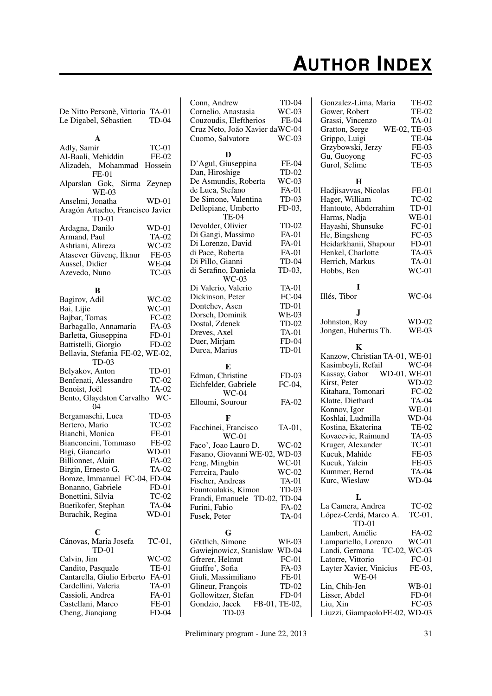# **AUTHOR INDEX**

| De Nitto Personè, Vittoria TA-01<br>Le Digabel, Sébastien | <b>TD-04</b>     |
|-----------------------------------------------------------|------------------|
|                                                           |                  |
| A                                                         |                  |
| Adly, Samir                                               | $TC-01$          |
| Al-Baali, Mehiddin                                        | FE-02<br>Hossein |
| Alizadeh, Mohammad<br>$FE-01$                             |                  |
| Alparslan Gok, Sirma Zeynep                               |                  |
| <b>WE-03</b>                                              |                  |
| Anselmi, Jonatha                                          | $WD-01$          |
| Aragón Artacho, Francisco Javier                          |                  |
| $TD-01$                                                   |                  |
| Ardagna, Danilo                                           | $WD-01$          |
| Armand, Paul                                              | <b>TA-02</b>     |
| Ashtiani, Alireza                                         | $WC-02$          |
| Atasever Güvenç, İlknur                                   | FE-03            |
| Aussel, Didier                                            | <b>WE-04</b>     |
| Azevedo, Nuno                                             | $TC-03$          |
|                                                           |                  |
| В                                                         |                  |
| Bagirov, Adil                                             | $WC-02$          |
| Bai, Lijie                                                | $WC-01$          |
| Bajbar, Tomas                                             | $FC-02$          |
| Barbagallo, Annamaria                                     | FA-03            |
| Barletta, Giuseppina                                      | $FD-01$          |
| Battistelli, Giorgio                                      | $FD-02$          |
| Bellavia, Stefania FE-02, WE-02,<br>$TD-03$               |                  |
| Belyakov, Anton                                           | $TD-01$          |
| Benfenati, Alessandro                                     | $TC-02$          |
| Benoist, Joël                                             | TA-02            |
| Bento, Glaydston Carvalho                                 | WC-              |
| 04                                                        |                  |
| Bergamaschi, Luca                                         | $TD-03$          |
| Bertero, Mario                                            | <b>TC-02</b>     |
| Bianchi, Monica                                           | FE-01            |
| Bianconcini, Tommaso                                      | FE-02            |
| Bigi, Giancarlo                                           | WD-01            |
| Billionnet, Alain                                         | FA-02            |
| Birgin, Ernesto G.                                        | <b>TA-02</b>     |
| Bomze, Immanuel FC-04, FD-04                              |                  |
| Bonanno, Gabriele                                         | $FD-01$          |
| Bonettini, Silvia                                         | $TC-02$          |
| Buetikofer, Stephan                                       | TA-04            |
| Burachik, Regina                                          | WD-01            |
| C                                                         |                  |
| Cánovas, Maria Josefa                                     | $TC-01$ ,        |
| $TD-01$                                                   |                  |
| Calvin, Jim<br>Candito, Pasquale                          | WC-02            |
|                                                           | TE-01<br>FA-01   |
| Cantarella, Giulio Erberto<br>Cardellini, Valeria         | <b>TA-01</b>     |
| Cassioli, Andrea                                          | FA-01            |
| Castellani, Marco                                         | FE-01            |
| Cheng, Jianqiang                                          | FD-04            |
|                                                           |                  |

| Conn, Andrew                                   | TD-04         |
|------------------------------------------------|---------------|
| Cornelio, Anastasia                            | $WC-03$       |
| Couzoudis, Eleftherios                         | <b>FE-04</b>  |
| Cruz Neto, João Xavier daWC-04                 |               |
| Cuomo, Salvatore                               | $WC-03$       |
|                                                |               |
| D                                              |               |
| D'Aguì, Giuseppina                             | FE-04         |
| Dan, Hiroshige                                 | TD-02         |
| De Asmundis, Roberta                           | $WC-03$       |
| de Luca, Stefano                               | FA-01         |
| De Simone, Valentina                           | TD-03         |
| Dellepiane, Umberto                            | FD-03,        |
| <b>TE-04</b>                                   |               |
| Devolder, Olivier                              | TD-02         |
| Di Gangi, Massimo                              | FA-01         |
| Di Lorenzo, David                              | FA-01         |
| di Pace, Roberta                               | FA-01         |
| Di Pillo, Gianni                               | TD-04         |
| di Serafino, Daniela                           | TD-03,        |
| $WC-03$                                        |               |
| Di Valerio, Valerio                            | TA-01         |
| Dickinson, Peter                               | $FC-04$       |
| Dontchev, Asen                                 | $TD-01$       |
| Dorsch, Dominik                                | <b>WE-03</b>  |
| Dostal, Zdenek                                 | TD-02         |
| Dreves, Axel                                   | <b>TA-01</b>  |
| Duer, Mirjam                                   | $FD-04$       |
| Durea, Marius                                  | TD-01         |
|                                                |               |
|                                                |               |
| Е                                              |               |
|                                                |               |
| Edman, Christine                               | $FD-03$       |
| Eichfelder, Gabriele<br>$WC-04$                | FC-04,        |
|                                                | $FA-02$       |
| Elloumi, Sourour                               |               |
| F                                              |               |
| Facchinei, Francisco                           | TA-01,        |
| $WC-01$                                        |               |
| Faco', Joao Lauro D.                           | $WC-02$       |
| Fasano, Giovanni WE-02, WD-03                  |               |
| Feng, Mingbin                                  | $WC-01$       |
| Ferreira, Paulo                                | $WC-02$       |
| Fischer, Andreas                               | TA-01         |
| Fountoulakis, Kimon                            | TD-03         |
|                                                |               |
| Frandi, Emanuele TD-02, TD-04<br>Furini, Fabio | FA-02         |
| Fusek, Peter                                   | TA-04         |
|                                                |               |
| G                                              |               |
| Göttlich, Simone                               | WE-03         |
| Gawiejnowicz, Stanislaw                        | WD-04         |
| Gfrerer, Helmut                                | $FC-01$       |
| Giuffre', Sofia                                | FA-03         |
| Giuli, Massimiliano                            | FE-01         |
| Glineur, François                              | TD-02         |
| Gollowitzer, Stefan                            | FD-04         |
| Gondzio, Jacek                                 | FB-01, TE-02, |

| Gonzalez-Lima, Maria                    | <b>TE-02</b> |
|-----------------------------------------|--------------|
| Gower, Robert                           | <b>TE-02</b> |
| Grassi, Vincenzo                        | <b>TA-01</b> |
| Gratton, Serge                          | WE-02, TE-03 |
| Grippo, Luigi                           | <b>TE-04</b> |
| Grzybowski, Jerzy                       | FE-03        |
| Gu, Guoyong                             | $FC-03$      |
| Gurol, Selime                           | <b>TE-03</b> |
|                                         |              |
| Н<br>Hadjisavvas, Nicolas               | $FE-01$      |
| Hager, William                          | <b>TC-02</b> |
|                                         | $TD-01$      |
| Hantoute, Abderrahim<br>Harms, Nadja    | $WE-01$      |
| Hayashi, Shunsuke                       | $FC-01$      |
| He, Bingsheng                           | $FC-03$      |
| Heidarkhanii, Shapour                   | $FD-01$      |
| Henkel, Charlotte                       | TA-03        |
| Herrich, Markus                         | <b>TA-01</b> |
| Hobbs, Ben                              | $WC-01$      |
|                                         |              |
| I                                       |              |
| Illés, Tibor                            | WC-04        |
| J                                       |              |
| Johnston, Roy                           | WD-02        |
| Jongen, Hubertus Th.                    | <b>WE-03</b> |
|                                         |              |
| Κ                                       |              |
| Kanzow, Christian TA-01, WE-01          |              |
| Kasimbeyli, Refail                      | $WC-04$      |
| WD-01, WE-01<br>Kassay, Gabor           |              |
| Kirst, Peter                            | WD-02        |
| Kitahara, Tomonari                      | $FC-02$      |
| Klatte, Diethard                        | TA-04        |
| Konnov, Igor                            | $WE-01$      |
| Koshlai, Ludmilla                       | WD-04        |
| Kostina, Ekaterina                      | TE-02        |
| Kovacevic, Raimund                      | TA-03        |
| Kruger, Alexander<br>Kucuk, Mahide      | $TC-01$      |
|                                         | FE-03        |
| Kucuk, Yalcin                           | FE-03        |
| Kummer, Bernd                           | TA-04        |
| Kurc, Wieslaw                           | WD-04        |
| L                                       |              |
| La Camera, Andrea                       | <b>TC-02</b> |
| López-Cerdá, Marco A.                   | $TC-01$ ,    |
| $TD-01$                                 |              |
| Lambert, Amélie                         | FA-02        |
| Lampariello, Lorenzo                    | $WC-01$      |
| Landi, Germana                          | TC-02, WC-03 |
| Latorre, Vittorio                       | $FC-01$      |
| Layter Xavier, Vinicius<br><b>WE-04</b> | FE-03,       |
| Lin, Chih-Jen                           | WB-01        |
| Lisser, Abdel                           | $FD-04$      |
| Liu, Xin                                | $FC-03$      |
| Liuzzi, GiampaoloFE-02, WD-03           |              |
|                                         |              |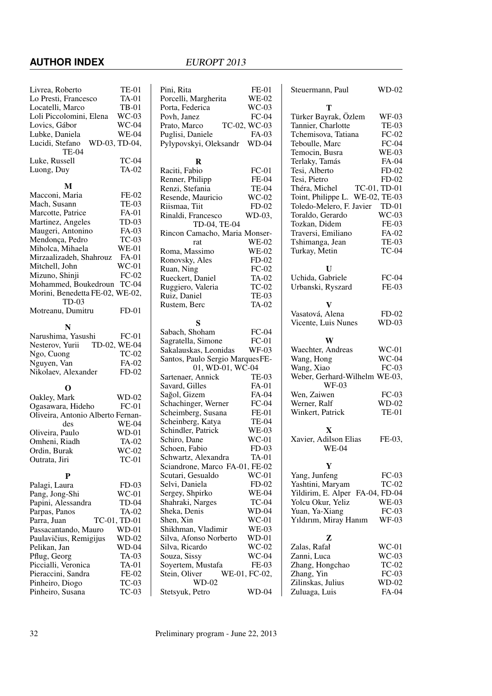### **AUTHOR INDEX** EUROPT 2013

| Livrea, Roberto                   | <b>TE-01</b>   | Pini,        |
|-----------------------------------|----------------|--------------|
| Lo Presti, Francesco              | <b>TA-01</b>   | Porce        |
| Locatelli, Marco                  | <b>TB-01</b>   | Porta        |
| Loli Piccolomini, Elena           | $WC-03$        | Povh.        |
| Lovics, Gábor                     | <b>WC-04</b>   | Prato        |
| Lubke, Daniela                    | <b>WE-04</b>   | Pugli        |
| Lucidi, Stefano                   | WD-03, TD-04,  | Pylyp        |
| TE-04                             |                |              |
| Luke, Russell                     | <b>TC-04</b>   |              |
| Luong, Duy                        | <b>TA-02</b>   | Racit        |
|                                   |                | Renn         |
| M                                 |                | Renz         |
| Macconi, Maria                    | $FE-02$        | Reser        |
| Mach, Susann                      | <b>TE-03</b>   | Riism        |
| Marcotte, Patrice                 | FA-01          | Rinal        |
| Martinez, Angeles                 | $TD-03$        |              |
| Maugeri, Antonino                 | FA-03          | Rinco        |
| Mendonça, Pedro                   | $TC-03$        |              |
| Miholca, Mihaela                  | $WE-01$        | Roma         |
| Mirzaalizadeh, Shahrouz           | <b>FA-01</b>   | Rono         |
| Mitchell, John                    | $WC-01$        | Ruan         |
| Mizuno, Shinji                    | $FC-02$        | Ruec.        |
| Mohammed, Boukedroun              | $TC-04$        |              |
| Morini, Benedetta FE-02, WE-02,   |                | Rugg         |
| TD-03                             |                | Ruiz,        |
| Motreanu, Dumitru                 | $FD-01$        | Ruste        |
|                                   |                |              |
| N                                 |                | Sabao        |
| Narushima, Yasushi                | $FC-01$        | Sagra        |
| Nesterov, Yurii TD-02, WE-04      |                | Sakal        |
| Ngo, Cuong                        | $TC-02$        | Santo        |
| Nguyen, Van                       | FA-02          |              |
| Nikolaev, Alexander               | $FD-02$        | Sarte:       |
|                                   |                | Savar        |
| О                                 |                | Sağol        |
| Oakley, Mark                      | $WD-02$        | Scha         |
| Ogasawara, Hideho                 | $FC-01$        | Schei        |
| Oliveira, Antonio Alberto Fernan- |                | Schei        |
| des                               | <b>WE-04</b>   | Schin        |
| Oliveira, Paulo                   | WD-01<br>TA-02 | Schir        |
| Omheni, Riadh                     |                | Scho         |
| Ordin, Burak                      | $WC-02$        | Schw         |
| Outrata, Jiri                     | $TC-01$        | Scian        |
| P                                 |                | Scuta        |
| Palagi, Laura                     | $FD-03$        | Selvi        |
| Pang, Jong-Shi                    | $WC-01$        | Serge        |
| Papini, Alessandra                | TD-04          | Shahi        |
| Parpas, Panos                     | TA-02          | Sheka        |
| Parra, Juan                       | TC-01, TD-01   | Shen,        |
| Passacantando, Mauro              | WD-01          | Shikh        |
| Paulavičius, Remigijus            | $WD-02$        | Silva.       |
| Pelikan, Jan                      | WD-04          | Silva.       |
| Pflug, Georg                      | TA-03          | Souza        |
| Piccialli, Veronica               | TA-01          | Soyei        |
| Pieraccini, Sandra                | FE-02          | Stein        |
| Pinheiro, Diogo                   | $TC-03$        |              |
| Pinheiro, Susana                  | $TC-03$        | <b>Stets</b> |
|                                   |                |              |

| Pini, Rita                      | <b>FE-01</b>  |
|---------------------------------|---------------|
|                                 |               |
| Porcelli, Margherita            | WE-02         |
| Porta, Federica                 | $WC-03$       |
| Povh, Janez                     | $FC-04$       |
| Prato, Marco                    | TC-02, WC-03  |
| Puglisi, Daniele                | FA-03         |
|                                 |               |
| Pylypovskyi, Oleksandr WD-04    |               |
|                                 |               |
| R                               |               |
| Raciti, Fabio                   | $FC-01$       |
| Renner, Philipp                 | FE-04         |
|                                 |               |
| Renzi, Stefania                 | TE-04         |
| Resende, Mauricio               | $WC-02$       |
| Riismaa, Tiit                   | $FD-02$       |
| Rinaldi, Francesco              | WD-03,        |
| TD-04, TE-04                    |               |
|                                 |               |
| Rincon Camacho, Maria Monser-   |               |
| rat                             | <b>WE-02</b>  |
| Roma, Massimo                   | <b>WE-02</b>  |
| Ronovsky, Ales                  | $FD-02$       |
|                                 |               |
| Ruan, Ning                      | $FC-02$       |
| Rueckert, Daniel                | $TA-02$       |
| Ruggiero, Valeria               | $TC-02$       |
| Ruiz, Daniel                    | <b>TE-03</b>  |
| Rustem, Berc                    | TA-02         |
|                                 |               |
|                                 |               |
| S                               |               |
| Sabach, Shoham                  | $FC-04$       |
| Sagratella, Simone              | $FC-01$       |
| Sakalauskas, Leonidas           | <b>WF-03</b>  |
| Santos, Paulo Sergio MarquesFE- |               |
|                                 |               |
| 01, WD-01, WC-04                |               |
| Sartenaer, Annick               | <b>TE-03</b>  |
| Savard, Gilles                  | FA-01         |
| Sağol, Gizem                    | FA-04         |
| Schachinger, Werner             | $FC-04$       |
|                                 |               |
| Scheimberg, Susana              | $FE-01$       |
| Scheinberg, Katya               | TE-04         |
| Schindler, Patrick              | $WE-03$       |
| Schiro, Dane                    | $WC-01$       |
| Schoen, Fabio                   | $FD-03$       |
|                                 |               |
| Schwartz, Alexandra             | <b>TA-01</b>  |
| Sciandrone, Marco FA-01, FE-02  |               |
| Scutari, Gesualdo               | WC-01         |
| Selvi, Daniela                  |               |
|                                 |               |
|                                 | $FD-02$       |
| Sergey, Shpirko                 | <b>WE-04</b>  |
| Shahraki, Narges                | $TC-04$       |
| Sheka, Denis                    | WD-04         |
|                                 |               |
| Shen, Xin                       | WC-01         |
| Shikhman, Vladimir              | WE-03         |
| Silva, Afonso Norberto          | WD-01         |
| Silva, Ricardo                  | $WC-02$       |
|                                 |               |
| Souza, Sissy                    | WC-04         |
| Soyertem, Mustafa               | FE-03         |
| Stein, Oliver                   | WE-01, FC-02, |
| WD-02<br>Stetsyuk, Petro        | WD-04         |

| Steuermann, Paul                       | WD-02        |
|----------------------------------------|--------------|
| т                                      |              |
| Türker Bayrak, Özlem                   | WF-03        |
| Tannier, Charlotte                     | <b>TE-03</b> |
| Tchemisova, Tatiana                    | $FC-02$      |
| Teboulle, Marc                         | $FC-04$      |
| Temocin, Busra                         | <b>WE-03</b> |
| Terlaky, Tamás                         | FA-04        |
| Tesi, Alberto                          | $FD-02$      |
| Tesi, Pietro                           | $FD-02$      |
| Théra, Michel                          | TC-01, TD-01 |
| Toint, Philippe L. WE-02, TE-03        |              |
| Toledo-Melero, F. Javier               | TD-01        |
|                                        | $WC-03$      |
| Toraldo, Gerardo<br>Tozkan, Didem      | FE-03        |
| Traversi, Emiliano                     |              |
|                                        | FA-02        |
| Tshimanga, Jean                        | <b>TE-03</b> |
| Turkay, Metin                          | $TC-04$      |
| U                                      |              |
| Uchida, Gabriele                       | $FC-04$      |
| Urbanski, Ryszard                      | FE-03        |
|                                        |              |
| V                                      |              |
| Vasatová, Alena                        | $FD-02$      |
| Vicente, Luis Nunes                    | $WD-03$      |
|                                        |              |
| W<br>Waechter, Andreas                 | $WC-01$      |
|                                        | WC-04        |
| Wang, Hong<br>Wang, Xiao               | $FC-03$      |
|                                        |              |
| Weber, Gerhard-Wilhelm WE-03,<br>WF-03 |              |
| Wen, Zaiwen                            | $FC-03$      |
| Werner, Ralf                           | $WD-02$      |
| Winkert, Patrick                       | <b>TE-01</b> |
|                                        |              |
| X                                      |              |
| Xavier, Adilson Elias                  | FE-03,       |
| <b>WE-04</b>                           |              |
|                                        |              |
| Y<br>Yang, Junfeng                     | $FC-03$      |
| Yashtini, Maryam                       | $TC-02$      |
|                                        |              |
| Yildirim, E. Alper                     | FA-04, FD-04 |
| Yolcu Okur, Yeliz                      | <b>WE-03</b> |
| Yuan, Ya-Xiang                         | $FC-03$      |
| Yıldırım, Miray Hanım                  | <b>WF-03</b> |
| z                                      |              |
| Zalas, Rafał                           | WC-01        |
| Zanni, Luca                            | $WC-03$      |
| Zhang, Hongchao                        | $TC-02$      |
| Zhang, Yin                             | $FC-03$      |
| Zilinskas, Julius                      | WD-02        |
| Zuluaga, Luis                          | FA-04        |
|                                        |              |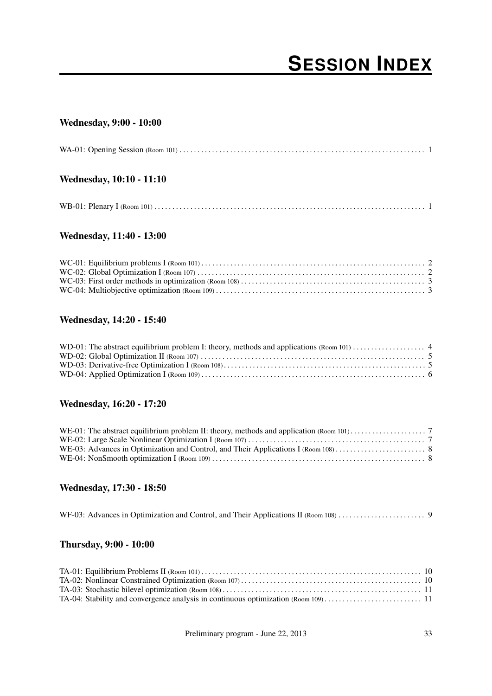# **SESSION INDEX**

### Wednesday, 9:00 - 10:00

| Wednesday, 10:10 - 11:10 |  |
|--------------------------|--|
|                          |  |

### Wednesday, 11:40 - 13:00

### Wednesday, 14:20 - 15:40

### Wednesday, 16:20 - 17:20

### Wednesday, 17:30 - 18:50

|--|--|--|

### Thursday, 9:00 - 10:00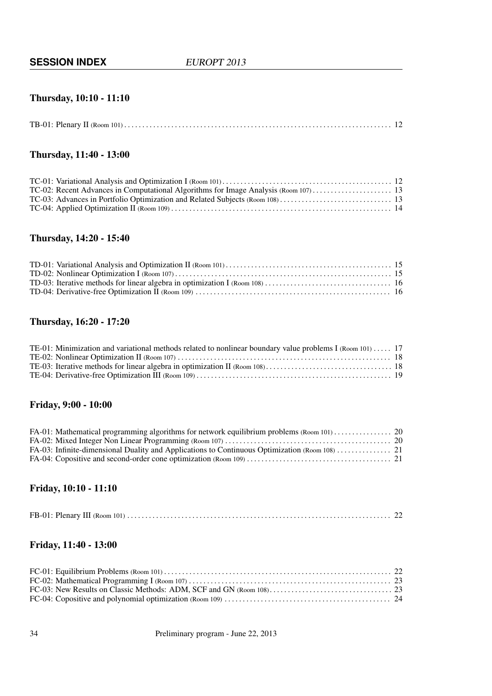### Thursday, 10:10 - 11:10

### Thursday, 11:40 - 13:00

### Thursday, 14:20 - 15:40

### Thursday, 16:20 - 17:20

| TE-01: Minimization and variational methods related to nonlinear boundary value problems I (Room 101)  17 |  |
|-----------------------------------------------------------------------------------------------------------|--|
|                                                                                                           |  |
|                                                                                                           |  |
|                                                                                                           |  |

### Friday, 9:00 - 10:00

### Friday, 10:10 - 11:10

|--|--|--|

### Friday, 11:40 - 13:00